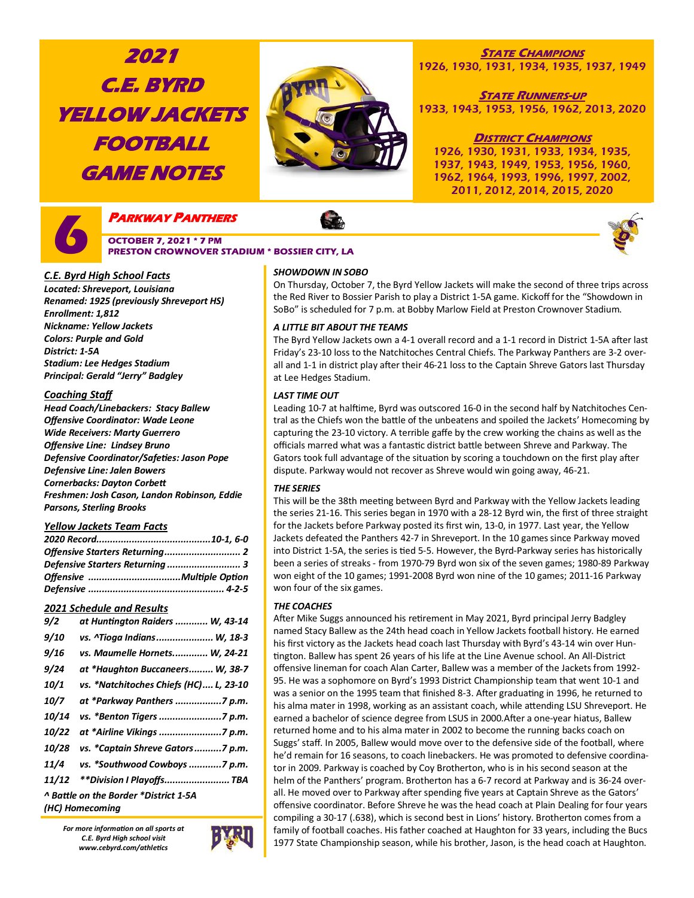# **2021 C.E. BYRD YELLOW JACKETS FOOTBALL GAME NOTES**



# **STATE CHAMPIONS**

1926, 1930, 1931, 1934, 1935, 1937, 1949

### **STATE RUNNERS-UP** 1933, 1943, 1953, 1956, 1962, 2013, 2020

**DISTRICT CHAMPIONS** 1926, 1930, 1931, 1933, 1934, 1935, 1937, 1943, 1949, 1953, 1956, 1960, 1962, 1964, 1993, 1996, 1997, 2002, 2011, 2012, 2014, 2015, 2020



# **PARKWAY PANTHERS**

 **OCTOBER 7, 2021 \* 7 PM PRESTON CROWNOVER STADIUM \* BOSSIER CITY, LA** 



*Located: Shreveport, Louisiana Renamed: 1925 (previously Shreveport HS) Enrollment: 1,812 Nickname: Yellow Jackets Colors: Purple and Gold District: 1-5A Stadium: Lee Hedges Stadium Principal: Gerald "Jerry" Badgley*

### *Coaching Staff*

*Head Coach/Linebackers: Stacy Ballew Offensive Coordinator: Wade Leone Wide Receivers: Marty Guerrero Offensive Line: Lindsey Bruno Defensive Coordinator/Safeties: Jason Pope Defensive Line: Jalen Bowers Cornerbacks: Dayton Corbett Freshmen: Josh Cason, Landon Robinson, Eddie Parsons, Sterling Brooks*

### *Yellow Jackets Team Facts*

| Defensive Starters Returning  3 |  |
|---------------------------------|--|
|                                 |  |
|                                 |  |

### *2021 Schedule and Results*

| 9/2         | at Huntington Raiders  W, 43-14        |
|-------------|----------------------------------------|
| <i>9/10</i> | vs. ^Tioga Indians W, 18-3             |
| 9/16        | vs. Maumelle Hornets W, 24-21          |
| 9/24        | at *Haughton Buccaneers W, 38-7        |
| 10/1        | vs. *Natchitoches Chiefs (HC) L, 23-10 |
| 10/7        | at *Parkway Panthers 7 p.m.            |
| 10/14       | vs. *Benton Tigers 7 p.m.              |
| 10/22       | at *Airline Vikings 7 p.m.             |
| 10/28       | vs. *Captain Shreve Gators7 p.m.       |
| 11/4        | vs. *Southwood Cowboys 7 p.m.          |
| 11/12       | **Division I Playoffs TBA              |
|             | ^ Battle on the Border *District 1-5A  |
|             | (HC) Homecoming                        |

*For more information on all sports at C.E. Byrd High school visit www.cebyrd.com/athletics*



### *SHOWDOWN IN SOBO*

On Thursday, October 7, the Byrd Yellow Jackets will make the second of three trips across the Red River to Bossier Parish to play a District 1-5A game. Kickoff for the "Showdown in SoBo" is scheduled for 7 p.m. at Bobby Marlow Field at Preston Crownover Stadium.

### *A LITTLE BIT ABOUT THE TEAMS*

The Byrd Yellow Jackets own a 4-1 overall record and a 1-1 record in District 1-5A after last Friday's 23-10 loss to the Natchitoches Central Chiefs. The Parkway Panthers are 3-2 overall and 1-1 in district play after their 46-21 loss to the Captain Shreve Gators last Thursday at Lee Hedges Stadium.

### *LAST TIME OUT*

Leading 10-7 at halftime, Byrd was outscored 16-0 in the second half by Natchitoches Central as the Chiefs won the battle of the unbeatens and spoiled the Jackets' Homecoming by capturing the 23-10 victory. A terrible gaffe by the crew working the chains as well as the officials marred what was a fantastic district battle between Shreve and Parkway. The Gators took full advantage of the situation by scoring a touchdown on the first play after dispute. Parkway would not recover as Shreve would win going away, 46-21.

### *THE SERIES*

This will be the 38th meeting between Byrd and Parkway with the Yellow Jackets leading the series 21-16. This series began in 1970 with a 28-12 Byrd win, the first of three straight for the Jackets before Parkway posted its first win, 13-0, in 1977. Last year, the Yellow Jackets defeated the Panthers 42-7 in Shreveport. In the 10 games since Parkway moved into District 1-5A, the series is tied 5-5. However, the Byrd-Parkway series has historically been a series of streaks - from 1970-79 Byrd won six of the seven games; 1980-89 Parkway won eight of the 10 games; 1991-2008 Byrd won nine of the 10 games; 2011-16 Parkway won four of the six games.

### *THE COACHES*

After Mike Suggs announced his retirement in May 2021, Byrd principal Jerry Badgley named Stacy Ballew as the 24th head coach in Yellow Jackets football history. He earned his first victory as the Jackets head coach last Thursday with Byrd's 43-14 win over Huntington. Ballew has spent 26 years of his life at the Line Avenue school. An All-District offensive lineman for coach Alan Carter, Ballew was a member of the Jackets from 1992- 95. He was a sophomore on Byrd's 1993 District Championship team that went 10-1 and was a senior on the 1995 team that finished 8-3. After graduating in 1996, he returned to his alma mater in 1998, working as an assistant coach, while attending LSU Shreveport. He earned a bachelor of science degree from LSUS in 2000.After a one-year hiatus, Ballew returned home and to his alma mater in 2002 to become the running backs coach on Suggs' staff. In 2005, Ballew would move over to the defensive side of the football, where he'd remain for 16 seasons, to coach linebackers. He was promoted to defensive coordinator in 2009. Parkway is coached by Coy Brotherton, who is in his second season at the helm of the Panthers' program. Brotherton has a 6-7 record at Parkway and is 36-24 overall. He moved over to Parkway after spending five years at Captain Shreve as the Gators' offensive coordinator. Before Shreve he was the head coach at Plain Dealing for four years compiling a 30-17 (.638), which is second best in Lions' history. Brotherton comes from a family of football coaches. His father coached at Haughton for 33 years, including the Bucs 1977 State Championship season, while his brother, Jason, is the head coach at Haughton.

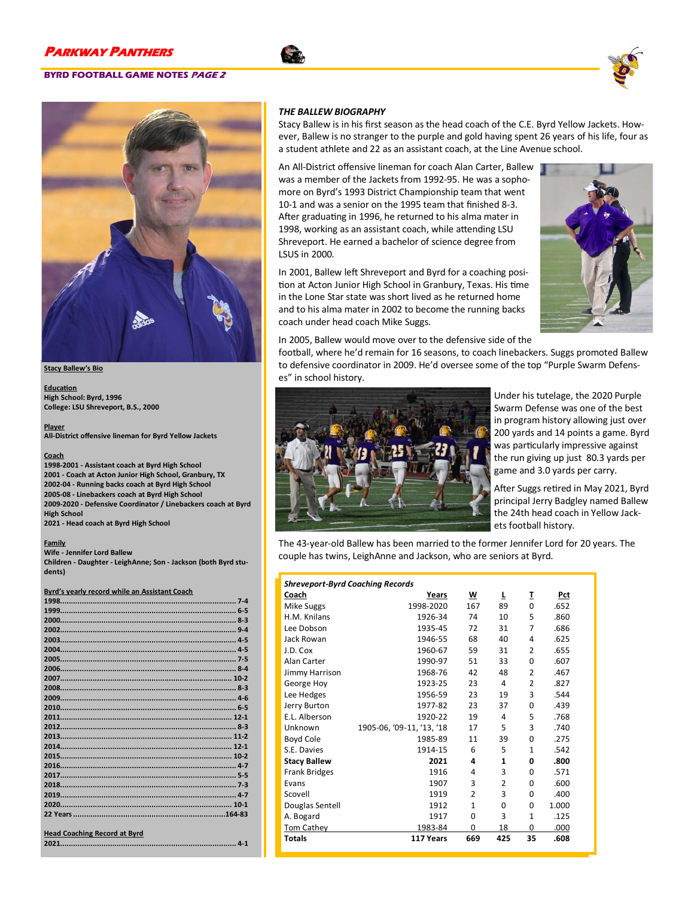





### **Stacy Ballew's Bio**

**Education High School: Byrd, 1996 College: LSU Shreveport, B.S., 2000**

**Player All-District offensive lineman for Byrd Yellow Jackets**

#### **Coach**

**-2001 - Assistant coach at Byrd High School - Coach at Acton Junior High School, Granbury, TX -04 - Running backs coach at Byrd High School -08 - Linebackers coach at Byrd High School -2020 - Defensive Coordinator / Linebackers coach at Byrd High School**

**2021 - Head coach at Byrd High School**

#### **Family**

**Wife - Jennifer Lord Ballew Children - Daughter - LeighAnne; Son - Jackson (both Byrd students)**

#### **Byrd's yearly record while an Assistant Coach**

| <b>Head Coaching Record at Byrd</b> |  |
|-------------------------------------|--|
|                                     |  |

### *THE BALLEW BIOGRAPHY*

Stacy Ballew is in his first season as the head coach of the C.E. Byrd Yellow Jackets. However, Ballew is no stranger to the purple and gold having spent 26 years of his life, four as a student athlete and 22 as an assistant coach, at the Line Avenue school.

An All-District offensive lineman for coach Alan Carter, Ballew was a member of the Jackets from 1992-95. He was a sophomore on Byrd's 1993 District Championship team that went 10-1 and was a senior on the 1995 team that finished 8-3. After graduating in 1996, he returned to his alma mater in 1998, working as an assistant coach, while attending LSU Shreveport. He earned a bachelor of science degree from LSUS in 2000.

In 2001, Ballew left Shreveport and Byrd for a coaching position at Acton Junior High School in Granbury, Texas. His time in the Lone Star state was short lived as he returned home and to his alma mater in 2002 to become the running backs coach under head coach Mike Suggs.



In 2005, Ballew would move over to the defensive side of the

football, where he'd remain for 16 seasons, to coach linebackers. Suggs promoted Ballew to defensive coordinator in 2009. He'd oversee some of the top "Purple Swarm Defenses" in school history.



Under his tutelage, the 2020 Purple Swarm Defense was one of the best in program history allowing just over 200 yards and 14 points a game. Byrd was particularly impressive against the run giving up just 80.3 yards per game and 3.0 yards per carry.

After Suggs retired in May 2021, Byrd principal Jerry Badgley named Ballew the 24th head coach in Yellow Jackets football history.

The 43-year-old Ballew has been married to the former Jennifer Lord for 20 years. The couple has twins, LeighAnne and Jackson, who are seniors at Byrd.

| <b>Shreveport-Byrd Coaching Records</b> |                           |                |                |                |       |
|-----------------------------------------|---------------------------|----------------|----------------|----------------|-------|
| Coach                                   | Years                     | W              | L              | Ι              | Pct   |
| <b>Mike Suggs</b>                       | 1998-2020                 | 167            | 89             | $\Omega$       | .652  |
| H.M. Knilans                            | 1926-34                   | 74             | 10             | 5              | .860  |
| Lee Dobson                              | 1935-45                   | 72             | 31             | $\overline{7}$ | .686  |
| Jack Rowan                              | 1946-55                   | 68             | 40             | 4              | .625  |
| J.D. Cox                                | 1960-67                   | 59             | 31             | $\overline{2}$ | .655  |
| Alan Carter                             | 1990-97                   | 51             | 33             | 0              | .607  |
| Jimmy Harrison                          | 1968-76                   | 42             | 48             | $\overline{2}$ | .467  |
| George Hoy                              | 1923-25                   | 23             | 4              | $\overline{2}$ | .827  |
| Lee Hedges                              | 1956-59                   | 23             | 19             | 3              | .544  |
| Jerry Burton                            | 1977-82                   | 23             | 37             | $\Omega$       | .439  |
| E.L. Alberson                           | 1920-22                   | 19             | 4              | 5              | .768  |
| Unknown                                 | 1905-06, '09-11, '13, '18 | 17             | 5              | 3              | .740  |
| Boyd Cole                               | 1985-89                   | 11             | 39             | $\Omega$       | .275  |
| S.E. Davies                             | 1914-15                   | 6              | 5              | $\mathbf{1}$   | .542  |
| <b>Stacy Ballew</b>                     | 2021                      | 4              | 1              | 0              | .800  |
| <b>Frank Bridges</b>                    | 1916                      | 4              | 3              | $\Omega$       | .571  |
| Evans                                   | 1907                      | 3              | $\overline{2}$ | $\Omega$       | .600  |
| Scovell                                 | 1919                      | $\overline{2}$ | 3              | 0              | .400  |
| Douglas Sentell                         | 1912                      | $\mathbf{1}$   | 0              | 0              | 1.000 |
| A. Bogard                               | 1917                      | $\Omega$       | 3              | $\mathbf{1}$   | .125  |
| Tom Cathey                              | 1983-84                   | $\Omega$       | 18             | 0              | .000  |
| <b>Totals</b>                           | 117 Years                 | 669            | 425            | 35             | .608  |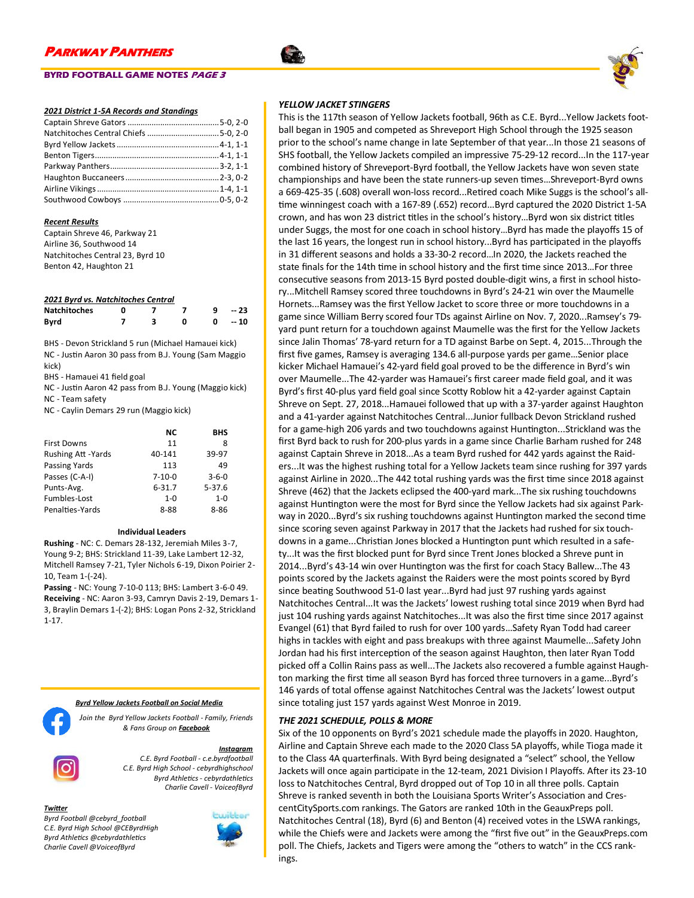### **BYRD FOOTBALL GAME NOTES PAGE 3**

### *2021 District 1-5A Records and Standings*

### *Recent Results*

Captain Shreve 46, Parkway 21 Airline 36, Southwood 14 Natchitoches Central 23, Byrd 10 Benton 42, Haughton 21

| 2021 Byrd vs. Natchitoches Central |   |   |   |       |
|------------------------------------|---|---|---|-------|
| <b>Natchitoches</b>                | n |   | a | $-23$ |
| Bvrd                               |   | n | 0 | -- 10 |

BHS - Devon Strickland 5 run (Michael Hamauei kick) NC - Justin Aaron 30 pass from B.J. Young (Sam Maggio kick)

BHS - Hamauei 41 field goal

NC - Justin Aaron 42 pass from B.J. Young (Maggio kick) NC - Team safety

NC - Caylin Demars 29 run (Maggio kick)

|                     | NC           | <b>BHS</b>  |
|---------------------|--------------|-------------|
| <b>First Downs</b>  | 11           | 8           |
| Rushing Att - Yards | 40-141       | 39-97       |
| Passing Yards       | 113          | 49          |
| Passes (C-A-I)      | $7 - 10 - 0$ | $3 - 6 - 0$ |
| Punts-Avg.          | $6 - 31.7$   | $5 - 37.6$  |
| Fumbles-Lost        | $1 - 0$      | $1 - 0$     |
| Penalties-Yards     | 8-88         | 8-86        |

#### **Individual Leaders**

**Rushing** - NC: C. Demars 28-132, Jeremiah Miles 3-7, Young 9-2; BHS: Strickland 11-39, Lake Lambert 12-32, Mitchell Ramsey 7-21, Tyler Nichols 6-19, Dixon Poirier 2- 10, Team 1-(-24).

**Passing** - NC: Young 7-10-0 113; BHS: Lambert 3-6-0 49. **Receiving** - NC: Aaron 3-93, Camryn Davis 2-19, Demars 1- 3, Braylin Demars 1-(-2); BHS: Logan Pons 2-32, Strickland 1-17.

#### *Byrd Yellow Jackets Football on Social Media*



*Join the Byrd Yellow Jackets Football - Family, Friends & Fans Group on Facebook*

#### *Instagram*

*C.E. Byrd Football - c.e.byrdfootball C.E. Byrd High School - cebyrdhighschool Byrd Athletics - cebyrdathletics Charlie Cavell - VoiceofByrd*

#### *Twitter*

*Byrd Football @cebyrd\_football C.E. Byrd High School @CEByrdHigh Byrd Athletics @cebyrdathletics Charlie Cavell @VoiceofByrd*



### *YELLOW JACKET STINGERS*

This is the 117th season of Yellow Jackets football, 96th as C.E. Byrd...Yellow Jackets football began in 1905 and competed as Shreveport High School through the 1925 season prior to the school's name change in late September of that year...In those 21 seasons of SHS football, the Yellow Jackets compiled an impressive 75-29-12 record...In the 117-year combined history of Shreveport-Byrd football, the Yellow Jackets have won seven state championships and have been the state runners-up seven times…Shreveport-Byrd owns a 669-425-35 (.608) overall won-loss record...Retired coach Mike Suggs is the school's alltime winningest coach with a 167-89 (.652) record...Byrd captured the 2020 District 1-5A crown, and has won 23 district titles in the school's history…Byrd won six district titles under Suggs, the most for one coach in school history…Byrd has made the playoffs 15 of the last 16 years, the longest run in school history...Byrd has participated in the playoffs in 31 different seasons and holds a 33-30-2 record…In 2020, the Jackets reached the state finals for the 14th time in school history and the first time since 2013…For three consecutive seasons from 2013-15 Byrd posted double-digit wins, a first in school history...Mitchell Ramsey scored three touchdowns in Byrd's 24-21 win over the Maumelle Hornets...Ramsey was the first Yellow Jacket to score three or more touchdowns in a game since William Berry scored four TDs against Airline on Nov. 7, 2020...Ramsey's 79 yard punt return for a touchdown against Maumelle was the first for the Yellow Jackets since Jalin Thomas' 78-yard return for a TD against Barbe on Sept. 4, 2015...Through the first five games, Ramsey is averaging 134.6 all-purpose yards per game…Senior place kicker Michael Hamauei's 42-yard field goal proved to be the difference in Byrd's win over Maumelle...The 42-yarder was Hamauei's first career made field goal, and it was Byrd's first 40-plus yard field goal since Scotty Roblow hit a 42-yarder against Captain Shreve on Sept. 27, 2018...Hamauei followed that up with a 37-yarder against Haughton and a 41-yarder against Natchitoches Central...Junior fullback Devon Strickland rushed for a game-high 206 yards and two touchdowns against Huntington...Strickland was the first Byrd back to rush for 200-plus yards in a game since Charlie Barham rushed for 248 against Captain Shreve in 2018...As a team Byrd rushed for 442 yards against the Raiders...It was the highest rushing total for a Yellow Jackets team since rushing for 397 yards against Airline in 2020...The 442 total rushing yards was the first time since 2018 against Shreve (462) that the Jackets eclipsed the 400-yard mark...The six rushing touchdowns against Huntington were the most for Byrd since the Yellow Jackets had six against Parkway in 2020...Byrd's six rushing touchdowns against Huntington marked the second time since scoring seven against Parkway in 2017 that the Jackets had rushed for six touchdowns in a game...Christian Jones blocked a Huntington punt which resulted in a safety...It was the first blocked punt for Byrd since Trent Jones blocked a Shreve punt in 2014...Byrd's 43-14 win over Huntington was the first for coach Stacy Ballew...The 43 points scored by the Jackets against the Raiders were the most points scored by Byrd since beating Southwood 51-0 last year...Byrd had just 97 rushing yards against Natchitoches Central...It was the Jackets' lowest rushing total since 2019 when Byrd had just 104 rushing yards against Natchitoches...It was also the first time since 2017 against Evangel (61) that Byrd failed to rush for over 100 yards…Safety Ryan Todd had career highs in tackles with eight and pass breakups with three against Maumelle...Safety John Jordan had his first interception of the season against Haughton, then later Ryan Todd picked off a Collin Rains pass as well...The Jackets also recovered a fumble against Haughton marking the first time all season Byrd has forced three turnovers in a game...Byrd's 146 yards of total offense against Natchitoches Central was the Jackets' lowest output since totaling just 157 yards against West Monroe in 2019.

### *THE 2021 SCHEDULE, POLLS & MORE*

Six of the 10 opponents on Byrd's 2021 schedule made the playoffs in 2020. Haughton, Airline and Captain Shreve each made to the 2020 Class 5A playoffs, while Tioga made it to the Class 4A quarterfinals. With Byrd being designated a "select" school, the Yellow Jackets will once again participate in the 12-team, 2021 Division I Playoffs. After its 23-10 loss to Natchitoches Central, Byrd dropped out of Top 10 in all three polls. Captain Shreve is ranked seventh in both the Louisiana Sports Writer's Association and CrescentCitySports.com rankings. The Gators are ranked 10th in the GeauxPreps poll. Natchitoches Central (18), Byrd (6) and Benton (4) received votes in the LSWA rankings, while the Chiefs were and Jackets were among the "first five out" in the GeauxPreps.com poll. The Chiefs, Jackets and Tigers were among the "others to watch" in the CCS rankings.



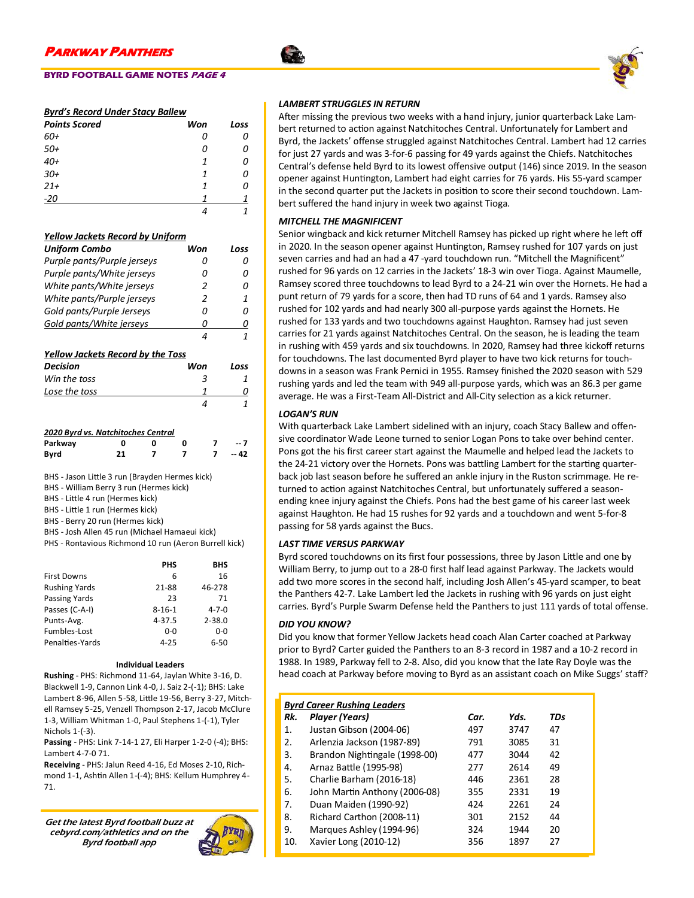### **BYRD FOOTBALL GAME NOTES PAGE 4**

### *Byrd's Record Under Stacy Ballew*

| <b>Points Scored</b> | Won | Loss |
|----------------------|-----|------|
| 60+                  | 0   | 0    |
| $50+$                | 0   | 0    |
| $40+$                | 1   | 0    |
| $30+$                | 1   | 0    |
| $21+$                | 1   | Ω    |
| $-20$                |     |      |
|                      |     |      |

### *Yellow Jackets Record by Uniform*

| Ω<br>Ω<br>2                              | 7<br>Ω |
|------------------------------------------|--------|
|                                          |        |
|                                          |        |
|                                          | n      |
| $\mathcal{P}$                            | 1      |
| Ω                                        | Ω      |
| Π                                        | Ω      |
| 4                                        | 1      |
| <b>Yellow Jackets Record by the Toss</b> |        |
| Won                                      | Loss   |
| 3                                        | 1      |
|                                          | 0      |
| 4                                        | 1      |
|                                          |        |
|                                          | n      |

**Parkway 0 0 0 7 -- 7 Byrd 21 7 7 7 -- 42**

#### BHS - Jason Little 3 run (Brayden Hermes kick)

BHS - William Berry 3 run (Hermes kick)

- BHS Little 4 run (Hermes kick)
- BHS Little 1 run (Hermes kick)
- BHS Berry 20 run (Hermes kick)

BHS - Josh Allen 45 run (Michael Hamaeui kick) PHS - Rontavious Richmond 10 run (Aeron Burrell kick)

|                      | <b>PHS</b>   | <b>BHS</b> |
|----------------------|--------------|------------|
| <b>First Downs</b>   | 6            | 16         |
| <b>Rushing Yards</b> | 21-88        | 46-278     |
| Passing Yards        | 23           | 71         |
| Passes (C-A-I)       | $8 - 16 - 1$ | 4-7-0      |
| Punts-Avg.           | $4 - 37.5$   | $2 - 38.0$ |
| Fumbles-Lost         | $0 - 0$      | $0 - 0$    |
| Penalties-Yards      | 4-25         | $6 - 50$   |

### **Individual Leaders**

**Rushing** - PHS: Richmond 11-64, Jaylan White 3-16, D. Blackwell 1-9, Cannon Link 4-0, J. Saiz 2-(-1); BHS: Lake Lambert 8-96, Allen 5-58, Little 19-56, Berry 3-27, Mitchell Ramsey 5-25, Venzell Thompson 2-17, Jacob McClure 1-3, William Whitman 1-0, Paul Stephens 1-(-1), Tyler Nichols 1-(-3).

**Passing** - PHS: Link 7-14-1 27, Eli Harper 1-2-0 (-4); BHS: Lambert 4-7-0 71.

**Receiving** - PHS: Jalun Reed 4-16, Ed Moses 2-10, Richmond 1-1, Ashtin Allen 1-(-4); BHS: Kellum Humphrey 4- 71.

Get the latest Byrd football buzz at cebyrd.com/athletics and on the Byrd football app



### *LAMBERT STRUGGLES IN RETURN*

After missing the previous two weeks with a hand injury, junior quarterback Lake Lambert returned to action against Natchitoches Central. Unfortunately for Lambert and Byrd, the Jackets' offense struggled against Natchitoches Central. Lambert had 12 carries for just 27 yards and was 3-for-6 passing for 49 yards against the Chiefs. Natchitoches Central's defense held Byrd to its lowest offensive output (146) since 2019. In the season opener against Huntington, Lambert had eight carries for 76 yards. His 55-yard scamper in the second quarter put the Jackets in position to score their second touchdown. Lambert suffered the hand injury in week two against Tioga.

### *MITCHELL THE MAGNIFICENT*

Senior wingback and kick returner Mitchell Ramsey has picked up right where he left off in 2020. In the season opener against Huntington, Ramsey rushed for 107 yards on just seven carries and had an had a 47 -yard touchdown run. "Mitchell the Magnificent" rushed for 96 yards on 12 carries in the Jackets' 18-3 win over Tioga. Against Maumelle, Ramsey scored three touchdowns to lead Byrd to a 24-21 win over the Hornets. He had a punt return of 79 yards for a score, then had TD runs of 64 and 1 yards. Ramsey also rushed for 102 yards and had nearly 300 all-purpose yards against the Hornets. He rushed for 133 yards and two touchdowns against Haughton. Ramsey had just seven carries for 21 yards against Natchitoches Central. On the season, he is leading the team in rushing with 459 yards and six touchdowns. In 2020, Ramsey had three kickoff returns for touchdowns. The last documented Byrd player to have two kick returns for touchdowns in a season was Frank Pernici in 1955. Ramsey finished the 2020 season with 529 rushing yards and led the team with 949 all-purpose yards, which was an 86.3 per game average. He was a First-Team All-District and All-City selection as a kick returner.

### *LOGAN'S RUN*

With quarterback Lake Lambert sidelined with an injury, coach Stacy Ballew and offensive coordinator Wade Leone turned to senior Logan Pons to take over behind center. Pons got the his first career start against the Maumelle and helped lead the Jackets to the 24-21 victory over the Hornets. Pons was battling Lambert for the starting quarterback job last season before he suffered an ankle injury in the Ruston scrimmage. He returned to action against Natchitoches Central, but unfortunately suffered a seasonending knee injury against the Chiefs. Pons had the best game of his career last week against Haughton. He had 15 rushes for 92 yards and a touchdown and went 5-for-8 passing for 58 yards against the Bucs.

### *LAST TIME VERSUS PARKWAY*

Byrd scored touchdowns on its first four possessions, three by Jason Little and one by William Berry, to jump out to a 28-0 first half lead against Parkway. The Jackets would add two more scores in the second half, including Josh Allen's 45-yard scamper, to beat the Panthers 42-7. Lake Lambert led the Jackets in rushing with 96 yards on just eight carries. Byrd's Purple Swarm Defense held the Panthers to just 111 yards of total offense.

### *DID YOU KNOW?*

Did you know that former Yellow Jackets head coach Alan Carter coached at Parkway prior to Byrd? Carter guided the Panthers to an 8-3 record in 1987 and a 10-2 record in 1988. In 1989, Parkway fell to 2-8. Also, did you know that the late Ray Doyle was the head coach at Parkway before moving to Byrd as an assistant coach on Mike Suggs' staff?

|     | <b>Byrd Career Rushing Leaders</b> |      |      |     |
|-----|------------------------------------|------|------|-----|
| Rk. | Player (Years)                     | Car. | Yds. | TDs |
| 1.  | Justan Gibson (2004-06)            | 497  | 3747 | 47  |
| 2.  | Arlenzia Jackson (1987-89)         | 791  | 3085 | 31  |
| 3.  | Brandon Nightingale (1998-00)      | 477  | 3044 | 42  |
| 4.  | Arnaz Battle (1995-98)             | 277  | 2614 | 49  |
| 5.  | Charlie Barham (2016-18)           | 446  | 2361 | 28  |
| 6.  | John Martin Anthony (2006-08)      | 355  | 2331 | 19  |
| 7.  | Duan Maiden (1990-92)              | 424  | 2261 | 24  |
| 8.  | Richard Carthon (2008-11)          | 301  | 2152 | 44  |
| 9.  | Marques Ashley (1994-96)           | 324  | 1944 | 20  |
| 10. | Xavier Long (2010-12)              | 356  | 1897 | 27  |

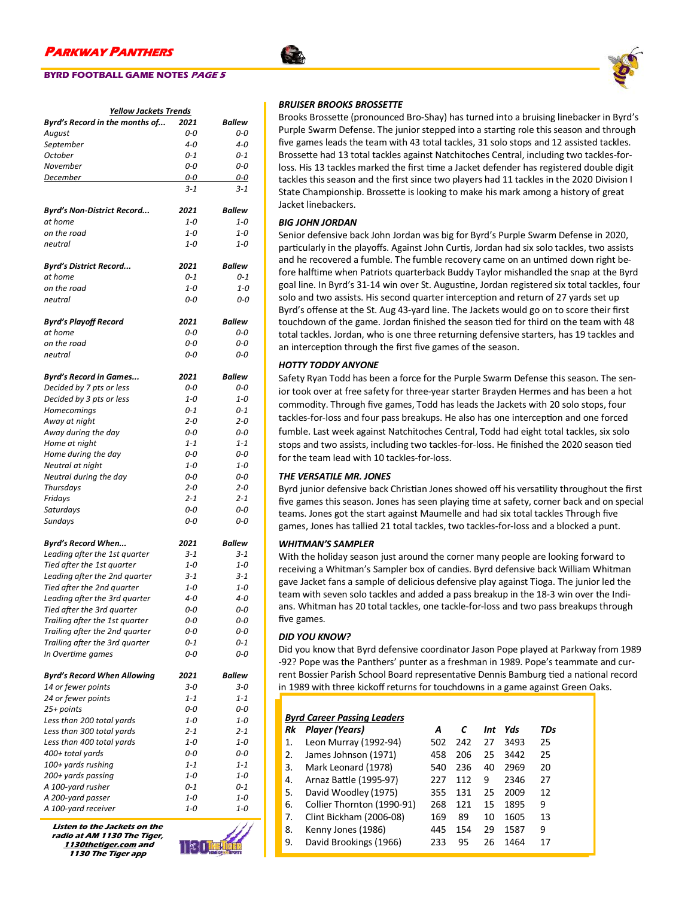### **BYRD FOOTBALL GAME NOTES PAGE 5**

| <b>Yellow Jackets Trends</b>             |                 |                          |  |  |
|------------------------------------------|-----------------|--------------------------|--|--|
| Byrd's Record in the months of           | 2021            | Ballew                   |  |  |
| August                                   | 0-0             | 0-0                      |  |  |
| September                                | 4-0             | 4-0                      |  |  |
| October                                  | 0-1             | $0 - 1$                  |  |  |
| November                                 | 0-0             | 0-0                      |  |  |
| December                                 | 0-0             | $0 - 0$                  |  |  |
|                                          | 3-1             | 3-1                      |  |  |
| <b>Byrd's Non-District Record</b>        | 2021            | <b>Ballew</b>            |  |  |
| at home                                  | $1 - 0$         | $1 - \Omega$             |  |  |
| on the road                              | $1 - 0$         | $1 - 0$                  |  |  |
| neutral                                  | $1 - 0$         | $1 - 0$                  |  |  |
|                                          |                 |                          |  |  |
| <b>Byrd's District Record</b><br>at home | 2021<br>$0 - 1$ | <b>Ballew</b><br>$0 - 1$ |  |  |
| on the road                              | $1 - 0$         | $1 - 0$                  |  |  |
| neutral                                  | 0-0             | 0-0                      |  |  |
|                                          |                 |                          |  |  |
| <b>Byrd's Playoff Record</b>             | 2021            | Ballew                   |  |  |
| at home                                  | 0-0             | 0-0                      |  |  |
| on the road                              | 0-0             | 0-0                      |  |  |
| neutral                                  | 0-0             | 0-0                      |  |  |
| Byrd's Record in Games                   | 2021            | Ballew                   |  |  |
| Decided by 7 pts or less                 | 0-0             | 0-0                      |  |  |
| Decided by 3 pts or less                 | $1 - 0$         | $1 - 0$                  |  |  |
| Homecomings                              | $0 - 1$         | $0 - 1$                  |  |  |
| Away at night                            | $2 - 0$         | $2 - 0$                  |  |  |
| Away during the day                      | 0-0             | 0-0                      |  |  |
| Home at night                            | $1 - 1$         | $1 - 1$                  |  |  |
| Home during the day                      | 0-0             | 0-0                      |  |  |
| Neutral at night                         | $1 - 0$         | $1 - 0$                  |  |  |
| Neutral during the day                   | 0-0             | 0-0                      |  |  |
| <b>Thursdays</b>                         | $2 - 0$         | $2 - 0$                  |  |  |
| Fridays                                  | $2 - 1$         | $2 - 1$                  |  |  |
| Saturdays                                | 0-0             | 0-0                      |  |  |
| Sundays                                  | 0-0             | 0-0                      |  |  |
| <b>Byrd's Record When</b>                | 2021            | <b>Ballew</b>            |  |  |
| Leading after the 1st quarter            | $3 - 1$         | $3 - 1$                  |  |  |
| Tied after the 1st quarter               | $1 - 0$         | $1 - 0$                  |  |  |
| Leading after the 2nd quarter            | $3 - 1$         | $3 - 1$                  |  |  |
| Tied after the 2nd quarter               | $1 - 0$         | $1 - 0$                  |  |  |
| Leading after the 3rd quarter            | 4-0             | 4-0                      |  |  |
| Tied after the 3rd quarter               | 0-0             | <b>U-U</b>               |  |  |
| Trailing after the 1st quarter           | 0-0             | 0-0                      |  |  |
| Trailing after the 2nd quarter           | 0-0             | 0-0                      |  |  |
| Trailing after the 3rd quarter           | $0 - 1$         | 0-1                      |  |  |
| In Overtime games                        | 0-0             | 0-0                      |  |  |
| <b>Byrd's Record When Allowing</b>       | 2021            | <b>Ballew</b>            |  |  |
| 14 or fewer points                       | $3 - 0$         | $3 - 0$                  |  |  |
| 24 or fewer points                       | $1 - 1$         | $1 - 1$                  |  |  |
| 25+ points                               | 0-0             | 0-0                      |  |  |
| Less than 200 total yards                | $1 - 0$         | $1 - 0$                  |  |  |
| Less than 300 total yards                | $2 - 1$         | $2 - 1$                  |  |  |
| Less than 400 total yards                | 1-0             | 1-0                      |  |  |
| 400+ total yards                         | 0-0             | 0-0                      |  |  |
| 100+ yards rushing                       | $1 - 1$         | $1 - 1$                  |  |  |
| 200+ yards passing                       | $1 - 0$         | $1 - 0$                  |  |  |
| A 100-yard rusher                        | 0-1             | 0-1                      |  |  |
| A 200-yard passer                        | 1-0             | 1-0                      |  |  |
| A 100-yard receiver                      | 1-0             | $1 - 0$                  |  |  |
|                                          |                 |                          |  |  |

**Listen to the Jackets on the radio at AM 1130 The Tiger, 1130thetiger.com and 1130 The Tiger app**

**TEOLOGICA** 



### *BRUISER BROOKS BROSSETTE*

Brooks Brossette (pronounced Bro-Shay) has turned into a bruising linebacker in Byrd's Purple Swarm Defense. The junior stepped into a starting role this season and through five games leads the team with 43 total tackles, 31 solo stops and 12 assisted tackles. Brossette had 13 total tackles against Natchitoches Central, including two tackles-forloss. His 13 tackles marked the first time a Jacket defender has registered double digit tackles this season and the first since two players had 11 tackles in the 2020 Division I State Championship. Brossette is looking to make his mark among a history of great Jacket linebackers.

### *BIG JOHN JORDAN*

Senior defensive back John Jordan was big for Byrd's Purple Swarm Defense in 2020, particularly in the playoffs. Against John Curtis, Jordan had six solo tackles, two assists and he recovered a fumble. The fumble recovery came on an untimed down right before halftime when Patriots quarterback Buddy Taylor mishandled the snap at the Byrd goal line. In Byrd's 31-14 win over St. Augustine, Jordan registered six total tackles, four solo and two assists. His second quarter interception and return of 27 yards set up Byrd's offense at the St. Aug 43-yard line. The Jackets would go on to score their first touchdown of the game. Jordan finished the season tied for third on the team with 48 total tackles. Jordan, who is one three returning defensive starters, has 19 tackles and an interception through the first five games of the season.

### *HOTTY TODDY ANYONE*

Safety Ryan Todd has been a force for the Purple Swarm Defense this season. The senior took over at free safety for three-year starter Brayden Hermes and has been a hot commodity. Through five games, Todd has leads the Jackets with 20 solo stops, four tackles-for-loss and four pass breakups. He also has one interception and one forced fumble. Last week against Natchitoches Central, Todd had eight total tackles, six solo stops and two assists, including two tackles-for-loss. He finished the 2020 season tied for the team lead with 10 tackles-for-loss.

### *THE VERSATILE MR. JONES*

Byrd junior defensive back Christian Jones showed off his versatility throughout the first five games this season. Jones has seen playing time at safety, corner back and on special teams. Jones got the start against Maumelle and had six total tackles Through five games, Jones has tallied 21 total tackles, two tackles-for-loss and a blocked a punt.

### *WHITMAN'S SAMPLER*

With the holiday season just around the corner many people are looking forward to receiving a Whitman's Sampler box of candies. Byrd defensive back William Whitman gave Jacket fans a sample of delicious defensive play against Tioga. The junior led the team with seven solo tackles and added a pass breakup in the 18-3 win over the Indians. Whitman has 20 total tackles, one tackle-for-loss and two pass breakups through five games.

### *DID YOU KNOW?*

Did you know that Byrd defensive coordinator Jason Pope played at Parkway from 1989 -92? Pope was the Panthers' punter as a freshman in 1989. Pope's teammate and current Bossier Parish School Board representative Dennis Bamburg tied a national record in 1989 with three kickoff returns for touchdowns in a game against Green Oaks.

### *Byrd Career Passing Leaders*

| Rk | Player (Years)             | А   |     | Int | Yds  | TDs |  |
|----|----------------------------|-----|-----|-----|------|-----|--|
| 1. | Leon Murray (1992-94)      | 502 | 242 | 27  | 3493 | 25  |  |
| 2. | James Johnson (1971)       | 458 | 206 | 25  | 3442 | 25  |  |
| 3. | Mark Leonard (1978)        | 540 | 236 | 40  | 2969 | 20  |  |
| 4. | Arnaz Battle (1995-97)     | 227 | 112 | 9   | 2346 | 27  |  |
| 5. | David Woodley (1975)       | 355 | 131 | 25  | 2009 | 12  |  |
| 6. | Collier Thornton (1990-91) | 268 | 121 | 15  | 1895 | 9   |  |
| 7. | Clint Bickham (2006-08)    | 169 | 89  | 10  | 1605 | 13  |  |
| 8. | Kenny Jones (1986)         | 445 | 154 | 29  | 1587 | 9   |  |
| 9. | David Brookings (1966)     | 233 | 95  | 26  | 1464 | 17  |  |
|    |                            |     |     |     |      |     |  |

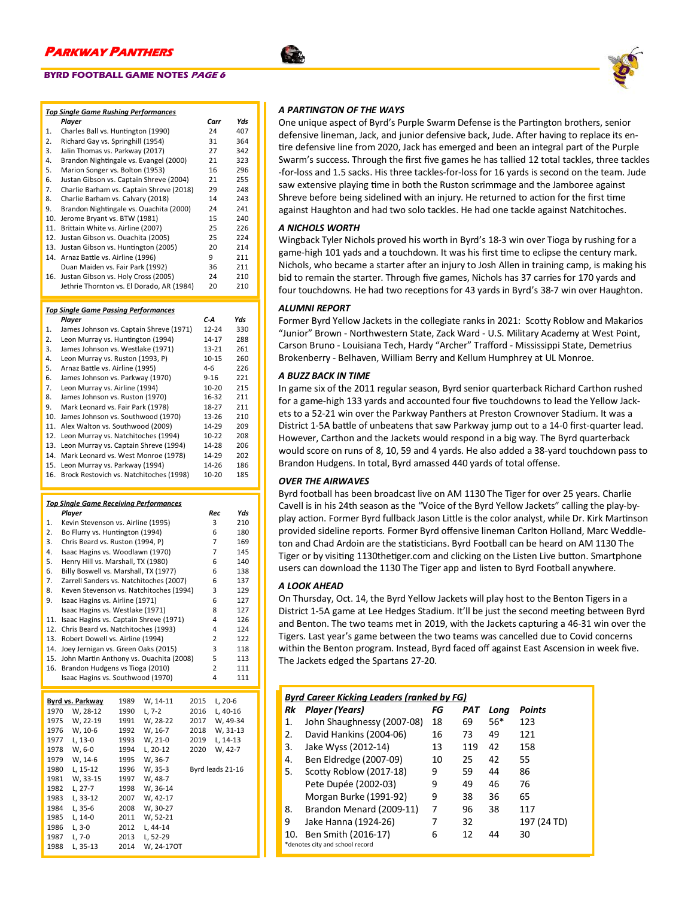|              | <b>Top Single Game Rushing Performances</b> |      |     |
|--------------|---------------------------------------------|------|-----|
|              | Player                                      | Carr | Yds |
| $\mathbf{1}$ | Charles Ball vs. Huntington (1990)          | 24   | 407 |
| 2.           | Richard Gay vs. Springhill (1954)           | 31   | 364 |
| 3.           | Jalin Thomas vs. Parkway (2017)             | 27   | 342 |
| 4.           | Brandon Nightingale vs. Evangel (2000)      | 21   | 323 |
| 5.           | Marion Songer vs. Bolton (1953)             | 16   | 296 |
| 6.           | Justan Gibson vs. Captain Shreve (2004)     | 21   | 255 |
| 7.           | Charlie Barham vs. Captain Shreve (2018)    | 29   | 248 |
| 8.           | Charlie Barham vs. Calvary (2018)           | 14   | 243 |
| 9.           | Brandon Nightingale vs. Ouachita (2000)     | 24   | 241 |
| 10.          | Jerome Bryant vs. BTW (1981)                | 15   | 240 |
| 11.          | Brittain White vs. Airline (2007)           | 25   | 226 |
| 12.          | Justan Gibson vs. Ouachita (2005)           | 25   | 224 |
| 13.          | Justan Gibson vs. Huntington (2005)         | 20   | 214 |
| 14.          | Arnaz Battle vs. Airline (1996)             | 9    | 211 |
|              | Duan Maiden vs. Fair Park (1992)            | 36   | 211 |
| 16.          | Justan Gibson vs. Holy Cross (2005)         | 24   | 210 |
|              | Jethrie Thornton vs. El Dorado, AR (1984)   | 20   | 210 |

### *Top Single Game Passing Performances*

|     | rop single game rassing rerjormances                                 |                     |            |
|-----|----------------------------------------------------------------------|---------------------|------------|
|     | Player                                                               | C-A                 | Yds        |
| 1.  | James Johnson vs. Captain Shreve (1971)                              | $12 - 24$           | 330        |
| 2.  | Leon Murray vs. Huntington (1994)                                    | 14-17               | 288        |
| 3.  | James Johnson vs. Westlake (1971)                                    | 13-21               | 261        |
| 4.  | Leon Murray vs. Ruston (1993, P)                                     | 10-15               | 260        |
| 5.  | Arnaz Battle vs. Airline (1995)                                      | $4-6$               | 226        |
| 6.  | James Johnson vs. Parkway (1970)                                     | $9 - 16$            | 221        |
| 7.  | Leon Murray vs. Airline (1994)                                       | 10-20               | 215        |
| 8.  | James Johnson vs. Ruston (1970)                                      | 16-32               | 211        |
| 9.  | Mark Leonard vs. Fair Park (1978)                                    | 18-27               | 211        |
| 10. | James Johnson vs. Southwood (1970)                                   | 13-26               | 210        |
| 11. | Alex Walton vs. Southwood (2009)                                     | 14-29               | 209        |
| 12. | Leon Murray vs. Natchitoches (1994)                                  | $10 - 22$           | 208        |
| 13. | Leon Murray vs. Captain Shreve (1994)                                | 14-28               | 206        |
| 14. | Mark Leonard vs. West Monroe (1978)                                  | 14-29               | 202        |
| 15. | Leon Murray vs. Parkway (1994)                                       | 14-26               | 186        |
| 16. | Brock Restovich vs. Natchitoches (1998)                              | 10-20               | 185        |
|     |                                                                      |                     |            |
|     |                                                                      |                     |            |
|     |                                                                      |                     |            |
|     | <b>Top Single Game Receiving Performances</b>                        |                     |            |
|     | Player                                                               | Rec                 | Yds        |
| 1.  | Kevin Stevenson vs. Airline (1995)                                   | 3                   | 210        |
| 2.  | Bo Flurry vs. Huntington (1994)                                      | 6                   | 180        |
| 3.  | Chris Beard vs. Ruston (1994, P)                                     | 7                   | 169        |
| 4.  | Isaac Hagins vs. Woodlawn (1970)                                     | 7                   | 145        |
| 5.  | Henry Hill vs. Marshall, TX (1980)                                   | 6                   | 140        |
| 6.  | Billy Boswell vs. Marshall, TX (1977)                                | 6                   | 138        |
| 7.  | Zarrell Sanders vs. Natchitoches (2007)                              | 6                   | 137        |
| 8.  | Keven Stevenson vs. Natchitoches (1994)                              | 3                   | 129        |
| 9.  | Isaac Hagins vs. Airline (1971)                                      | 6                   | 127        |
|     | Isaac Hagins vs. Westlake (1971)                                     | 8                   | 127        |
| 11. | Isaac Hagins vs. Captain Shreve (1971)                               | 4                   | 126        |
| 12. | Chris Beard vs. Natchitoches (1993)                                  | 4                   | 124        |
| 13. | Robert Dowell vs. Airline (1994)                                     | $\overline{2}$      | 122        |
| 14. | Joey Jernigan vs. Green Oaks (2015)                                  | 3                   | 118        |
| 15. | John Martin Anthony vs. Ouachita (2008)                              | 5                   | 113        |
| 16. | Brandon Hudgens vs Tioga (2010)<br>Isaac Hagins vs. Southwood (1970) | $\overline{2}$<br>4 | 111<br>111 |

|      | Byrd vs. Parkway | 1989 | W, 14-11   | 2015 | L, 20-6          |
|------|------------------|------|------------|------|------------------|
| 1970 | W, 28-12         | 1990 | $L.7-2$    | 2016 | L. 40-16         |
| 1975 | W. 22-19         | 1991 | W. 28-22   | 2017 | W. 49-34         |
| 1976 | W. 10-6          | 1992 | W. 16-7    | 2018 | W.31-13          |
| 1977 | L, 13-0          | 1993 | W, 21-0    | 2019 | L, 14-13         |
| 1978 | W. 6-0           | 1994 | L, 20-12   | 2020 | W, 42-7          |
| 1979 | W. 14-6          | 1995 | W. 36-7    |      |                  |
| 1980 | L. 15-12         | 1996 | W. 35-3    |      | Byrd leads 21-16 |
| 1981 | W, 33-15         | 1997 | W. 48-7    |      |                  |
| 1982 | L, 27-7          | 1998 | W, 36-14   |      |                  |
| 1983 | L, 33-12         | 2007 | W, 42-17   |      |                  |
| 1984 | L. 35-6          | 2008 | W. 30-27   |      |                  |
| 1985 | L, 14-0          | 2011 | W, 52-21   |      |                  |
| 1986 | L. 3-0           | 2012 | L. 44-14   |      |                  |
| 1987 | L, 7-0           | 2013 | L, 52-29   |      |                  |
| 1988 | L. 35-13         | 2014 | W. 24-170T |      |                  |
|      |                  |      |            |      |                  |

### *A PARTINGTON OF THE WAYS*

One unique aspect of Byrd's Purple Swarm Defense is the Partington brothers, senior defensive lineman, Jack, and junior defensive back, Jude. After having to replace its entire defensive line from 2020, Jack has emerged and been an integral part of the Purple Swarm's success. Through the first five games he has tallied 12 total tackles, three tackles -for-loss and 1.5 sacks. His three tackles-for-loss for 16 yards is second on the team. Jude saw extensive playing time in both the Ruston scrimmage and the Jamboree against Shreve before being sidelined with an injury. He returned to action for the first time against Haughton and had two solo tackles. He had one tackle against Natchitoches.

### *A NICHOLS WORTH*

Wingback Tyler Nichols proved his worth in Byrd's 18-3 win over Tioga by rushing for a game-high 101 yads and a touchdown. It was his first time to eclipse the century mark. Nichols, who became a starter after an injury to Josh Allen in training camp, is making his bid to remain the starter. Through five games, Nichols has 37 carries for 170 yards and four touchdowns. He had two receptions for 43 yards in Byrd's 38-7 win over Haughton.

### *ALUMNI REPORT*

Former Byrd Yellow Jackets in the collegiate ranks in 2021: Scotty Roblow and Makarios "Junior" Brown - Northwestern State, Zack Ward - U.S. Military Academy at West Point, Carson Bruno - Louisiana Tech, Hardy "Archer" Trafford - Mississippi State, Demetrius Brokenberry - Belhaven, William Berry and Kellum Humphrey at UL Monroe.

### *A BUZZ BACK IN TIME*

In game six of the 2011 regular season, Byrd senior quarterback Richard Carthon rushed for a game-high 133 yards and accounted four five touchdowns to lead the Yellow Jackets to a 52-21 win over the Parkway Panthers at Preston Crownover Stadium. It was a District 1-5A battle of unbeatens that saw Parkway jump out to a 14-0 first-quarter lead. However, Carthon and the Jackets would respond in a big way. The Byrd quarterback would score on runs of 8, 10, 59 and 4 yards. He also added a 38-yard touchdown pass to Brandon Hudgens. In total, Byrd amassed 440 yards of total offense.

### *OVER THE AIRWAVES*

Byrd football has been broadcast live on AM 1130 The Tiger for over 25 years. Charlie Cavell is in his 24th season as the "Voice of the Byrd Yellow Jackets" calling the play-byplay action. Former Byrd fullback Jason Little is the color analyst, while Dr. Kirk Martinson provided sideline reports. Former Byrd offensive lineman Carlton Holland, Marc Weddleton and Chad Ardoin are the statisticians. Byrd Football can be heard on AM 1130 The Tiger or by visiting 1130thetiger.com and clicking on the Listen Live button. Smartphone users can download the 1130 The Tiger app and listen to Byrd Football anywhere.

### *A LOOK AHEAD*

On Thursday, Oct. 14, the Byrd Yellow Jackets will play host to the Benton Tigers in a District 1-5A game at Lee Hedges Stadium. It'll be just the second meeting between Byrd and Benton. The two teams met in 2019, with the Jackets capturing a 46-31 win over the Tigers. Last year's game between the two teams was cancelled due to Covid concerns within the Benton program. Instead, Byrd faced off against East Ascension in week five. The Jackets edged the Spartans 27-20.

### *Byrd Career Kicking Leaders (ranked by FG)*

| Rk  | Player (Years)                  | FG | PAT | Long  | Points      |
|-----|---------------------------------|----|-----|-------|-------------|
| 1.  | John Shaughnessy (2007-08)      | 18 | 69  | $56*$ | 123         |
| 2.  | David Hankins (2004-06)         | 16 | 73  | 49    | 121         |
| 3.  | Jake Wyss (2012-14)             | 13 | 119 | 42    | 158         |
| 4.  | Ben Eldredge (2007-09)          | 10 | 25  | 42    | 55          |
| 5.  | Scotty Roblow (2017-18)         | 9  | 59  | 44    | 86          |
|     | Pete Dupée (2002-03)            | 9  | 49  | 46    | 76          |
|     | Morgan Burke (1991-92)          | 9  | 38  | 36    | 65          |
| 8.  | Brandon Menard (2009-11)        | 7  | 96  | 38    | 117         |
| 9   | Jake Hanna (1924-26)            | 7  | 32  |       | 197 (24 TD) |
| 10. | Ben Smith (2016-17)             | 6  | 12  | 44    | 30          |
|     | *denotes city and school record |    |     |       |             |



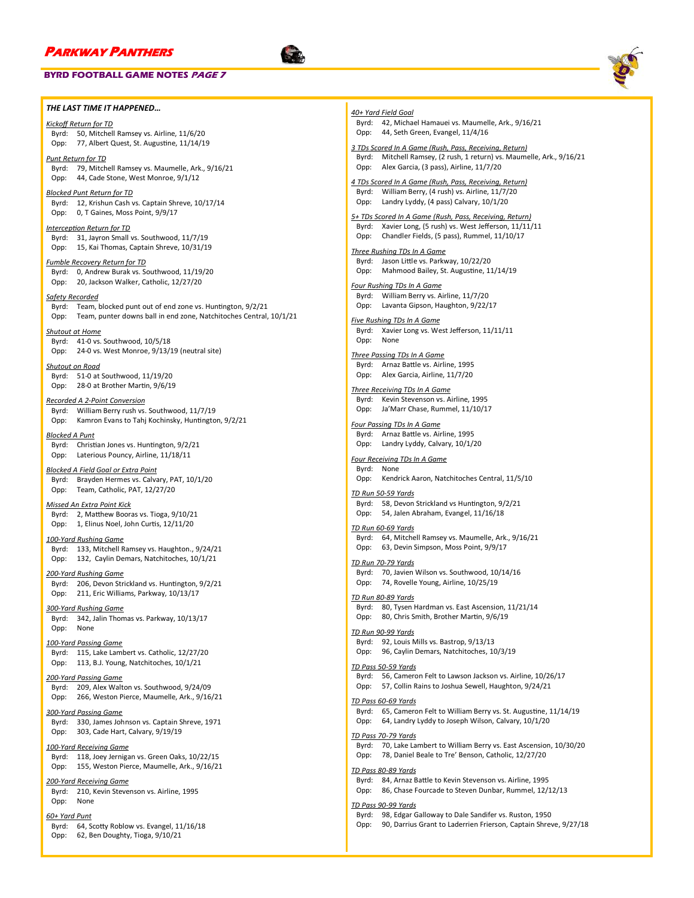### **BYRD FOOTBALL GAME NOTES PAGE 7**



*Kickoff Return for TD*

Byrd: 50, Mitchell Ramsey vs. Airline, 11/6/20 Opp: 77, Albert Quest, St. Augustine, 11/14/19

### *Punt Return for TD*

Byrd: 79, Mitchell Ramsey vs. Maumelle, Ark., 9/16/21 Opp: 44, Cade Stone, West Monroe, 9/1/12

#### *Blocked Punt Return for TD*

Byrd: 12, Krishun Cash vs. Captain Shreve, 10/17/14 Opp: 0, T Gaines, Moss Point, 9/9/17

*Interception Return for TD* Byrd: 31, Jayron Small vs. Southwood, 11/7/19 Opp: 15, Kai Thomas, Captain Shreve, 10/31/19

### *Fumble Recovery Return for TD*

Byrd: 0, Andrew Burak vs. Southwood, 11/19/20 Opp: 20, Jackson Walker, Catholic, 12/27/20

### *Safety Recorded*

Byrd: Team, blocked punt out of end zone vs. Huntington, 9/2/21 Opp: Team, punter downs ball in end zone, Natchitoches Central, 10/1/21

### *Shutout at Home*

Byrd: 41-0 vs. Southwood, 10/5/18 Opp: 24-0 vs. West Monroe, 9/13/19 (neutral site)

#### *Shutout on Road*

Byrd: 51-0 at Southwood, 11/19/20 Opp: 28-0 at Brother Martin, 9/6/19

#### *Recorded A 2-Point Conversion*

Byrd: William Berry rush vs. Southwood, 11/7/19 Opp: Kamron Evans to Tahj Kochinsky, Huntington, 9/2/21

### *Blocked A Punt*

Byrd: Christian Jones vs. Huntington, 9/2/21 Opp: Laterious Pouncy, Airline, 11/18/11

#### *Blocked A Field Goal or Extra Point*

Byrd: Brayden Hermes vs. Calvary, PAT, 10/1/20 Opp: Team, Catholic, PAT, 12/27/20

#### *Missed An Extra Point Kick*

Byrd: 2, Matthew Booras vs. Tioga, 9/10/21 Opp: 1, Elinus Noel, John Curtis, 12/11/20

#### *100-Yard Rushing Game*

Byrd: 133, Mitchell Ramsey vs. Haughton., 9/24/21 Opp: 132, Caylin Demars, Natchitoches, 10/1/21

#### *200-Yard Rushing Game*

Byrd: 206, Devon Strickland vs. Huntington, 9/2/21 Opp: 211, Eric Williams, Parkway, 10/13/17

#### *300-Yard Rushing Game*

Byrd: 342, Jalin Thomas vs. Parkway, 10/13/17 Opp: None

#### *100-Yard Passing Game*

Byrd: 115, Lake Lambert vs. Catholic, 12/27/20 Opp: 113, B.J. Young, Natchitoches, 10/1/21

#### *200-Yard Passing Game*

Byrd: 209, Alex Walton vs. Southwood, 9/24/09 Opp: 266, Weston Pierce, Maumelle, Ark., 9/16/21

#### *300-Yard Passing Game*

Byrd: 330, James Johnson vs. Captain Shreve, 1971 Opp: 303, Cade Hart, Calvary, 9/19/19

### *100-Yard Receiving Game*

Byrd: 118, Joey Jernigan vs. Green Oaks, 10/22/15 Opp: 155, Weston Pierce, Maumelle, Ark., 9/16/21

#### *200-Yard Receiving Game*

Byrd: 210, Kevin Stevenson vs. Airline, 1995 Opp: None

### *60+ Yard Punt*

Byrd: 64, Scotty Roblow vs. Evangel, 11/16/18

Opp: 62, Ben Doughty, Tioga, 9/10/21



Byrd: 42, Michael Hamauei vs. Maumelle, Ark., 9/16/21 Opp: 44, Seth Green, Evangel, 11/4/16

*3 TDs Scored In A Game (Rush, Pass, Receiving, Return)* Byrd: Mitchell Ramsey, (2 rush, 1 return) vs. Maumelle, Ark., 9/16/21 Opp: Alex Garcia, (3 pass), Airline, 11/7/20

*4 TDs Scored In A Game (Rush, Pass, Receiving, Return)* Byrd: William Berry, (4 rush) vs. Airline, 11/7/20 Opp: Landry Lyddy, (4 pass) Calvary, 10/1/20

### *5+ TDs Scored In A Game (Rush, Pass, Receiving, Return)*

Byrd: Xavier Long, (5 rush) vs. West Jefferson, 11/11/11

Opp: Chandler Fields, (5 pass), Rummel, 11/10/17

### *Three Rushing TDs In A Game*

Byrd: Jason Little vs. Parkway, 10/22/20 Opp: Mahmood Bailey, St. Augustine, 11/14/19

#### *Four Rushing TDs In A Game*

Byrd: William Berry vs. Airline, 11/7/20 Opp: Lavanta Gipson, Haughton, 9/22/17

#### *Five Rushing TDs In A Game*

Byrd: Xavier Long vs. West Jefferson, 11/11/11 Opp: None

#### *Three Passing TDs In A Game*

Byrd: Arnaz Battle vs. Airline, 1995 Opp: Alex Garcia, Airline, 11/7/20

### *Three Receiving TDs In A Game*

Byrd: Kevin Stevenson vs. Airline, 1995 Opp: Ja'Marr Chase, Rummel, 11/10/17

### *Four Passing TDs In A Game*

Byrd: Arnaz Battle vs. Airline, 1995 Opp: Landry Lyddy, Calvary, 10/1/20

### *Four Receiving TDs In A Game*

Byrd: None Opp: Kendrick Aaron, Natchitoches Central, 11/5/10

#### *TD Run 50-59 Yards*

Byrd: 58, Devon Strickland vs Huntington, 9/2/21

Opp: 54, Jalen Abraham, Evangel, 11/16/18

### *TD Run 60-69 Yards*

Byrd: 64, Mitchell Ramsey vs. Maumelle, Ark., 9/16/21 Opp: 63, Devin Simpson, Moss Point, 9/9/17

### *TD Run 70-79 Yards*

Byrd: 70, Javien Wilson vs. Southwood, 10/14/16 Opp: 74, Rovelle Young, Airline, 10/25/19

### *TD Run 80-89 Yards*

Byrd: 80, Tysen Hardman vs. East Ascension, 11/21/14 Opp: 80, Chris Smith, Brother Martin, 9/6/19

#### *TD Run 90-99 Yards*

Byrd: 92, Louis Mills vs. Bastrop, 9/13/13

Opp: 96, Caylin Demars, Natchitoches, 10/3/19

### *TD Pass 50-59 Yards*

Byrd: 56, Cameron Felt to Lawson Jackson vs. Airline, 10/26/17

Opp: 57, Collin Rains to Joshua Sewell, Haughton, 9/24/21

### *TD Pass 60-69 Yards*

Byrd: 65, Cameron Felt to William Berry vs. St. Augustine, 11/14/19 Opp: 64, Landry Lyddy to Joseph Wilson, Calvary, 10/1/20

### *TD Pass 70-79 Yards*

- Byrd: 70, Lake Lambert to William Berry vs. East Ascension, 10/30/20
- Opp: 78, Daniel Beale to Tre' Benson, Catholic, 12/27/20

### *TD Pass 80-89 Yards*

Byrd: 84, Arnaz Battle to Kevin Stevenson vs. Airline, 1995 Opp: 86, Chase Fourcade to Steven Dunbar, Rummel, 12/12/13

### *TD Pass 90-99 Yards*

- Byrd: 98, Edgar Galloway to Dale Sandifer vs. Ruston, 1950
- Opp: 90, Darrius Grant to Laderrien Frierson, Captain Shreve, 9/27/18

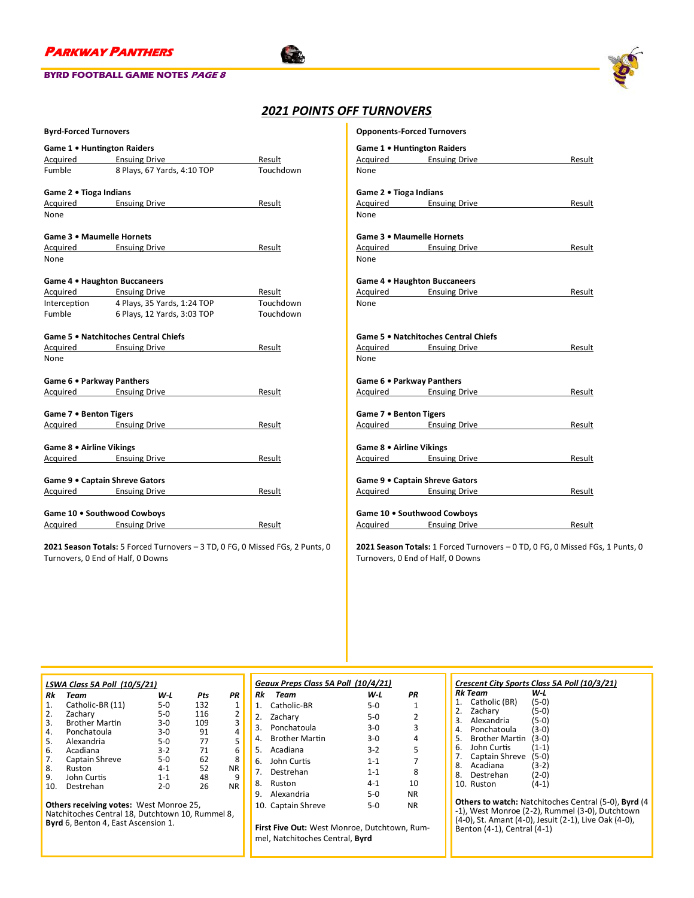



### *2021 POINTS OFF TURNOVERS*

| <b>Byrd-Forced Turnovers</b> |                                          |           |
|------------------------------|------------------------------------------|-----------|
| Game 1 . Huntington Raiders  |                                          |           |
|                              | Acquired Ensuing Drive                   | Result    |
| Fumble                       | 8 Plays, 67 Yards, 4:10 TOP              | Touchdown |
| Game 2 . Tioga Indians       |                                          |           |
|                              | Acquired Ensuing Drive                   | Result    |
| None                         |                                          |           |
| Game 3 . Maumelle Hornets    |                                          |           |
|                              | Acquired Ensuing Drive                   | Result    |
| None                         |                                          |           |
|                              | Game 4 . Haughton Buccaneers             |           |
|                              | Acquired Ensuing Drive                   | Result    |
|                              | Interception 4 Plays, 35 Yards, 1:24 TOP | Touchdown |
|                              | Fumble 6 Plays, 12 Yards, 3:03 TOP       | Touchdown |
|                              | Game 5 . Natchitoches Central Chiefs     |           |
|                              | Acquired Ensuing Drive                   | Result    |
| None                         |                                          |           |
| Game 6 . Parkway Panthers    |                                          |           |
|                              | Acquired Ensuing Drive                   | Result    |
|                              |                                          |           |
| Game 7 . Benton Tigers       |                                          |           |
|                              | Acquired Ensuing Drive                   | Result    |
| Game 8 . Airline Vikings     |                                          |           |
|                              | Acquired Ensuing Drive                   | Result    |
|                              | Game 9 . Captain Shreve Gators           |           |
|                              |                                          |           |
|                              | Acquired Ensuing Drive                   | Result    |
|                              | Game 10 . Southwood Cowboys              |           |
|                              | Acquired Ensuing Drive                   | Result    |

**2021 Season Totals:** 5 Forced Turnovers – 3 TD, 0 FG, 0 Missed FGs, 2 Punts, 0 Turnovers, 0 End of Half, 0 Downs

|                                                       | <b>Opponents-Forced Turnovers</b>           |        |  |  |  |
|-------------------------------------------------------|---------------------------------------------|--------|--|--|--|
| Game 1 . Huntington Raiders                           |                                             |        |  |  |  |
|                                                       | Acquired Ensuing Drive                      | Result |  |  |  |
| None                                                  |                                             |        |  |  |  |
|                                                       |                                             |        |  |  |  |
| Game 2 . Tioga Indians                                |                                             |        |  |  |  |
|                                                       | Acquired Ensuing Drive                      | Result |  |  |  |
| None                                                  |                                             |        |  |  |  |
|                                                       |                                             |        |  |  |  |
| Game 3 . Maumelle Hornets                             |                                             |        |  |  |  |
|                                                       | Acquired Ensuing Drive                      | Result |  |  |  |
| None                                                  |                                             |        |  |  |  |
|                                                       |                                             |        |  |  |  |
| Game 4 . Haughton Buccaneers                          |                                             |        |  |  |  |
|                                                       | Acquired Ensuing Drive                      | Result |  |  |  |
| None                                                  |                                             |        |  |  |  |
|                                                       |                                             |        |  |  |  |
|                                                       |                                             |        |  |  |  |
|                                                       | <b>Game 5 • Natchitoches Central Chiefs</b> |        |  |  |  |
|                                                       | Acquired Ensuing Drive                      | Result |  |  |  |
| None                                                  |                                             |        |  |  |  |
|                                                       |                                             |        |  |  |  |
|                                                       |                                             |        |  |  |  |
| Game 6 . Parkway Panthers                             |                                             |        |  |  |  |
|                                                       |                                             |        |  |  |  |
|                                                       | Acquired Ensuing Drive                      | Result |  |  |  |
|                                                       |                                             |        |  |  |  |
| Game 7 . Benton Tigers                                |                                             |        |  |  |  |
|                                                       | Acquired Ensuing Drive                      | Result |  |  |  |
|                                                       |                                             |        |  |  |  |
| Game 8 . Airline Vikings                              |                                             |        |  |  |  |
|                                                       | Acquired Ensuing Drive                      | Result |  |  |  |
|                                                       |                                             |        |  |  |  |
| Game 9 . Captain Shreve Gators                        |                                             |        |  |  |  |
|                                                       | Acquired Ensuing Drive                      | Result |  |  |  |
|                                                       |                                             |        |  |  |  |
| Game 10 . Southwood Cowboys<br>Acquired Ensuing Drive |                                             | Result |  |  |  |

**2021 Season Totals:** 1 Forced Turnovers – 0 TD, 0 FG, 0 Missed FGs, 1 Punts, 0 Turnovers, 0 End of Half, 0 Downs

| LSWA Class 5A Poll (10/5/21) |                       |         |     |    |  |  |
|------------------------------|-----------------------|---------|-----|----|--|--|
| Rk                           | Team                  | W L     | Pts | PR |  |  |
| 1.                           | Catholic-BR (11)      | $5-0$   | 132 | 1  |  |  |
| 2.                           | Zachary               | $5-0$   | 116 | 2  |  |  |
| 3.                           | <b>Brother Martin</b> | $3-0$   | 109 | 3  |  |  |
| 4.                           | Ponchatoula           | $3-0$   | 91  | 4  |  |  |
| 5.                           | Alexandria            | $5-0$   | 77  | 5  |  |  |
| 6.                           | Acadiana              | $3-2$   | 71  | 6  |  |  |
| 7.                           | Captain Shreve        | $5-0$   | 62  | 8  |  |  |
| 8.                           | Ruston                | $4 - 1$ | 52  | ΝR |  |  |
| 9.                           | John Curtis           | $1 - 1$ | 48  | q  |  |  |
| 10.                          | Destrehan             | $2 - 0$ | 26  | ΝR |  |  |

**Others receiving votes:** West Monroe 25, Natchitoches Central 18, Dutchtown 10, Rummel 8, **Byrd** 6, Benton 4, East Ascension 1.

| Geaux Preps Class 5A Poll (10/4/21) |                       |         |               |  |  |  |
|-------------------------------------|-----------------------|---------|---------------|--|--|--|
| Rk                                  | Team                  | W-L     | PR            |  |  |  |
| 1.                                  | Catholic-BR           | 5-0     | 1             |  |  |  |
|                                     | 2. Zachary            | $5-0$   | $\mathfrak z$ |  |  |  |
| 3.                                  | Ponchatoula           | $3-0$   | 3             |  |  |  |
| 4.                                  | <b>Brother Martin</b> | $3-0$   | 4             |  |  |  |
| 5.                                  | Acadiana              | $3-2$   | 5             |  |  |  |
| 6.                                  | John Curtis           | $1 - 1$ | 7             |  |  |  |
|                                     | 7. Destrehan          | $1 - 1$ | 8             |  |  |  |
| 8.                                  | Ruston                | 4-1     | 10            |  |  |  |
| ٩.                                  | Alexandria            | $5-0$   | ΝR            |  |  |  |
|                                     | 10. Captain Shreve    | 5-0     | ΝR            |  |  |  |

**First Five Out:** West Monroe, Dutchtown, Rummel, Natchitoches Central, **Byrd** 

### *Crescent City Sports Class 5A Poll (10/3/21)*

|    | Rk Team               | W L     |
|----|-----------------------|---------|
| 1. | Catholic (BR)         | $(5-0)$ |
| 2. | Zachary               | $(5-0)$ |
| 3. | Alexandria            | $(5-0)$ |
| 4. | Ponchatoula           | $(3-0)$ |
| 5. | <b>Brother Martin</b> | $(3-0)$ |
| 6. | John Curtis           | $(1-1)$ |
| 7. | Captain Shreve        | $(5-0)$ |
| 8. | Acadiana              | $(3-2)$ |
| 8. | Destrehan             | $(2-0)$ |
| 10 | Ruston                | $(4-1)$ |
|    |                       |         |

**Others to watch:** Natchitoches Central (5-0), **Byrd** (4 -1), West Monroe (2-2), Rummel (3-0), Dutchtown (4-0), St. Amant (4-0), Jesuit (2-1), Live Oak (4-0), Benton (4-1), Central (4-1)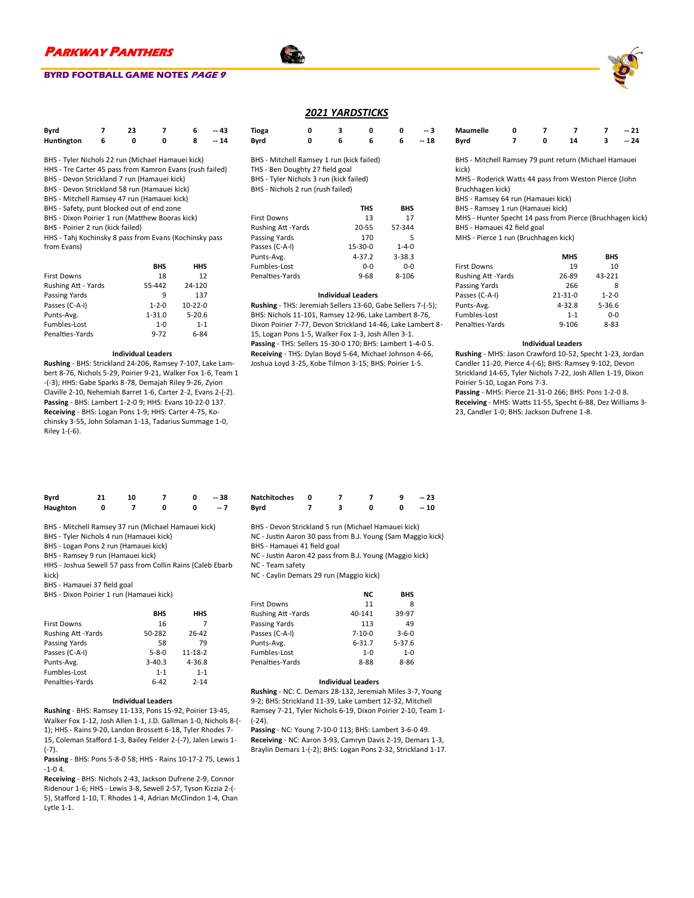### **BYRD FOOTBALL GAME NOTES PAGE 9**

| Byrd       | 23 |   | 6 | -- 43 |
|------------|----|---|---|-------|
| Huntington | o  | o | 8 | $-14$ |

- BHS Tyler Nichols 22 run (Michael Hamauei kick)
- HHS Tre Carter 45 pass from Kamron Evans (rush failed)
- BHS Devon Strickland 7 run (Hamauei kick)
- BHS Devon Strickland 58 run (Hamauei kick)
- BHS Mitchell Ramsey 47 run (Hamauei kick)
- BHS Safety, punt blocked out of end zone
- BHS Dixon Poirier 1 run (Matthew Booras kick)
- BHS Poirier 2 run (kick failed)

HHS - Tahj Kochinsky 8 pass from Evans (Kochinsky pass from Evans)

|                     | <b>BHS</b>  | HHS        |
|---------------------|-------------|------------|
| <b>First Downs</b>  | 18          | 12         |
| Rushing Att - Yards | 55-442      | 24-120     |
| Passing Yards       | q           | 137        |
| Passes (C-A-I)      | $1 - 2 - 0$ | $10-22-0$  |
| Punts-Avg.          | $1 - 31.0$  | $5 - 20.6$ |
| Fumbles-Lost        | $1 - 0$     | $1 - 1$    |
| Penalties-Yards     | $9 - 72$    | 6-84       |

#### **Individual Leaders**

**Rushing** - BHS: Strickland 24-206, Ramsey 7-107, Lake Lambert 8-76, Nichols 5-29, Poirier 9-21, Walker Fox 1-6, Team 1 -(-3); HHS: Gabe Sparks 8-78, Demajah Riley 9-26, Zyion Claville 2-10, Nehemiah Barret 1-6, Carter 2-2, Evans 2-(-2). **Passing** - BHS: Lambert 1-2-0 9; HHS: Evans 10-22-0 137. **Receiving** - BHS: Logan Pons 1-9; HHS: Carter 4-75, Kochinsky 3-55, John Solaman 1-13, Tadarius Summage 1-0, Riley 1-(-6).

### *2021 YARDSTICKS*

| Tioga | o                                         | з | o |   | -- 3  |
|-------|-------------------------------------------|---|---|---|-------|
| Byrd  | o                                         | 6 | 6 | 6 | $-18$ |
|       | BHS - Mitchell Ramsey 1 run (kick failed) |   |   |   |       |
|       | THS - Ben Doughty 27 field goal           |   |   |   |       |
|       | BHS - Tyler Nichols 3 run (kick failed)   |   |   |   |       |
|       |                                           |   |   |   |       |

BHS - Nichols 2 run (rush failed)

|                          | THS        | <b>BHS</b>  |
|--------------------------|------------|-------------|
| <b>First Downs</b>       | 13         | 17          |
| <b>Rushing Att-Yards</b> | 20-55      | 57-344      |
| Passing Yards            | 170        | 5           |
| Passes (C-A-I)           | 15-30-0    | $1 - 4 - 0$ |
| Punts-Avg.               | $4 - 37.2$ | $3 - 38.3$  |
| Fumbles-Lost             | $0 - 0$    | $0 - 0$     |
| Penalties-Yards          | $9 - 68$   | $8 - 106$   |

#### **Individual Leaders**

**Rushing** - THS: Jeremiah Sellers 13-60, Gabe BHS: Nichols 11-101, Ramsey 12-96, Lake Lar Dixon Poirier 7-77, Devon Strickland 14-46, L 15, Logan Pons 1-5, Walker Fox 1-3, Josh Alle Passing - THS: Sellers 15-30-0 170; BHS: Lam **Receiving** - THS: Dylan Boyd 5-64, Michael Johnson 4-66, Joshua Loyd 3-25, Kobe Tilmon 3-15; BHS: Poirier 1-5.

| <b>Maumelle</b> |  |    | $-21$ |
|-----------------|--|----|-------|
| Byrd            |  | 14 | $-24$ |

BHS - Mitchell Ramsey 79 punt return (Michael Hamauei kick)

MHS - Roderick Watts 44 pass from Weston Pierce (John

BHS - Ramsey 64 run (Hamauei kick)

BHS - Ramsey 1 run (Hamauei kick)

MHS - Hunter Specht 14 pass from Pierce (Bruchhagen kick)

|                     | <b>MHS</b>    | <b>BHS</b>  |
|---------------------|---------------|-------------|
| <b>First Downs</b>  | 19            | 10          |
| Rushing Att - Yards | 26-89         | 43-221      |
| Passing Yards       | 266           | 8           |
| Passes (C-A-I)      | $21 - 31 - 0$ | $1 - 2 - 0$ |
| Punts-Avg.          | $4 - 32.8$    | 5-36.6      |
| Fumbles-Lost        | $1 - 1$       | 0-0         |
| Penalties-Yards     | $9 - 106$     | $8 - 83$    |

#### **Individual Leaders**

**Rushing** - MHS: Jason Crawford 10-52, Specht 1-23, Jordan Candler 11-20, Pierce 4-(-6); BHS: Ramsey 9-102, Devon Strickland 14-65, Tyler Nichols 7-22, Josh Allen 1-19, Dixon

**Receiving** - MHS: Watts 11-55, Specht 6-88, Dez Williams 3- 23, Candler 1-0; BHS: Jackson Dufrene 1-8.

| Byrd     | 21 | 10 |  | $-38$ |
|----------|----|----|--|-------|
| Haughton |    |    |  | -- 7  |

BHS - Mitchell Ramsey 37 run (Michael Hamauei kick)

BHS - Tyler Nichols 4 run (Hamauei kick)

BHS - Logan Pons 2 run (Hamauei kick)

BHS - Ramsey 9 run (Hamauei kick)

HHS - Joshua Sewell 57 pass from Collin Rains (Caleb Ebarb kick)

BHS - Hamauei 37 field goal

BHS - Dixon Poirier 1 run (Hamauei kick)

|                           | <b>BHS</b>  | HHS      |
|---------------------------|-------------|----------|
| <b>First Downs</b>        | 16          |          |
| <b>Rushing Att -Yards</b> | 50-282      | 26-42    |
| Passing Yards             | 58          | 79       |
| Passes (C-A-I)            | $5 - 8 - 0$ | 11-18-2  |
| Punts-Avg.                | $3-40.3$    | 4-36.8   |
| Fumbles-Lost              | $1 - 1$     | $1 - 1$  |
| Penalties-Yards           | $6-42$      | $7 - 14$ |

#### **Individual Leaders**

**Rushing** - BHS: Ramsey 11-133, Pons 15-92, Poirier 13-45, Walker Fox 1-12, Josh Allen 1-1, J.D. Gallman 1-0, Nichols 8-(- 1); HHS - Rains 9-20, Landon Brossett 6-18, Tyler Rhodes 7- 15, Coleman Stafford 1-3, Bailey Felder 2-(-7), Jalen Lewis 1- (-7).

**Passing** - BHS: Pons 5-8-0 58; HHS - Rains 10-17-2 75, Lewis 1 -1-0 4.

**Receiving** - BHS: Nichols 2-43, Jackson Dufrene 2-9, Connor Ridenour 1-6; HHS - Lewis 3-8, Sewell 2-57, Tyson Kizzia 2-(- 5), Stafford 1-10, T. Rhodes 1-4, Adrian McClindon 1-4, Chan Lytle 1-1.

| <b>Natchitoches</b> |  |  | $-23$ |
|---------------------|--|--|-------|
| Byrd                |  |  | $-10$ |

BHS - Devon Strickland 5 run (Michael Hamauei kick)

NC - Justin Aaron 30 pass from B.J. Young (Sam Maggio kick)

BHS - Hamauei 41 field goal

NC - Justin Aaron 42 pass from B.J. Young (Maggio kick)

NC - Team safety

NC - Caylin Demars 29 run (Maggio kick)

|                           | NC           | <b>BHS</b>  |
|---------------------------|--------------|-------------|
| <b>First Downs</b>        | 11           | 8           |
| <b>Rushing Att -Yards</b> | 40-141       | 39-97       |
| Passing Yards             | 113          | 49          |
| Passes (C-A-I)            | $7 - 10 - 0$ | $3 - 6 - 0$ |
| Punts-Avg.                | $6 - 31.7$   | $5 - 37.6$  |
| Fumbles-Lost              | $1 - 0$      | $1 - 0$     |
| Penalties-Yards           | 8-88         | $8 - 86$    |
|                           |              |             |

#### **Individual Leaders**

**Rushing** - NC: C. Demars 28-132, Jeremiah Miles 3-7, Young 9-2; BHS: Strickland 11-39, Lake Lambert 12-32, Mitchell Ramsey 7-21, Tyler Nichols 6-19, Dixon Poirier 2-10, Team 1-  $(-24)$ .

**Passing** - NC: Young 7-10-0 113; BHS: Lambert 3-6-0 49. **Receiving** - NC: Aaron 3-93, Camryn Davis 2-19, Demars 1-3, Braylin Demars 1-(-2); BHS: Logan Pons 2-32, Strickland 1-17.

Bruchhagen kick)

BHS - Hamauei 42 field goal MHS - Pierce 1 run (Bruchhagen kick)

|                 | Passing Yards   |            |
|-----------------|-----------------|------------|
|                 | Passes (C-A-I)  | 2          |
| Sellers 7-(-5); | Punts-Avg.      |            |
| mbert 8-76.     | Fumbles-Lost    |            |
| Lake Lambert 8- | Penalties-Yards |            |
| en 3-1.         |                 |            |
| bert 1-4-0 5.   |                 | Individual |
|                 |                 |            |

Poirier 5-10, Logan Pons 7-3. **Passing** - MHS: Pierce 21-31-0 266; BHS: Pons 1-2-0 8.

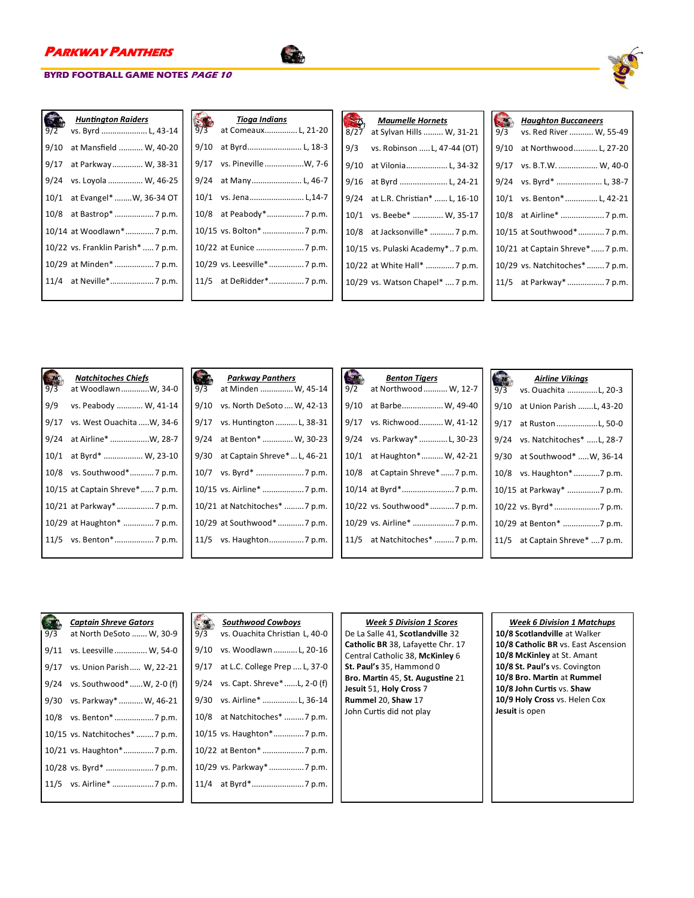

| 9/2  | <b>Huntington Raiders</b><br>vs. Byrd  L, 43-14 |
|------|-------------------------------------------------|
| 9/10 | at Mansfield  W, 40-20                          |
| 9/17 | at Parkway W, 38-31                             |
| 9/24 | vs. Loyola  W, 46-25                            |
| 10/1 | at Evangel*  W, 36-34 OT                        |
| 10/8 |                                                 |
|      | 10/14 at Woodlawn* 7 p.m.                       |
|      | 10/22 vs. Franklin Parish*  7 p.m.              |
|      | 10/29 at Minden*  7 p.m.                        |
|      |                                                 |
|      |                                                 |

| 9/3  | Tioga Indians<br>at Comeaux L, 21-20 |
|------|--------------------------------------|
| 9/10 | at Byrd L, 18-3                      |
| 9/17 | vs. Pineville W, 7-6                 |
| 9/24 | at Many L, 46-7                      |
|      |                                      |
|      |                                      |
|      | 10/15 vs. Bolton*  7 p.m.            |
|      |                                      |
|      | 10/29 vs. Leesville*  7 p.m.         |
|      | 11/5 at DeRidder* 7 p.m.             |
|      |                                      |

54

| 8/27 | <b>Maumelle Hornets</b><br>at Sylvan Hills  W, 31-21 |
|------|------------------------------------------------------|
| 9/3  | vs. Robinson  L, 47-44 (OT)                          |
| 9/10 | at Vilonia L, 34-32                                  |
| 9/16 | at Byrd  L, 24-21                                    |
| 9/24 | at L.R. Christian*  L, 16-10                         |
| 10/1 | vs. Beebe*  W, 35-17                                 |
|      | 10/8 at Jacksonville*  7 p.m.                        |
|      | 10/15 vs. Pulaski Academy* 7 p.m.                    |
|      | 10/22 at White Hall*  7 p.m.                         |
|      | 10/29 vs. Watson Chapel*  7 p.m.                     |
|      |                                                      |

| 9/3  | <b>Haughton Buccaneers</b><br>vs. Red River  W, 55-49 |
|------|-------------------------------------------------------|
| 9/10 | at Northwood L, 27-20                                 |
| 9/17 | vs. B.T.W.  W, 40-0                                   |
| 9/24 | vs. Byrd*  L, 38-7                                    |
| 10/1 | vs. Benton*L, 42-21                                   |
| 10/8 | at Airline*  7 p.m.                                   |
|      | 10/15 at Southwood*7 p.m.                             |
|      | 10/21 at Captain Shreve*7 p.m.                        |
|      | 10/29 vs. Natchitoches*  7 p.m.                       |
|      | 11/5 at Parkway*  7 p.m.                              |
|      |                                                       |

| 9/3 | <b>Natchitoches Chiefs</b><br>at WoodlawnW, 34-0 |  | Parkway Po<br>9/3 at Minden |
|-----|--------------------------------------------------|--|-----------------------------|
|     | 9/9 vs. Peabody  W, 41-14                        |  | 9/10 vs. North DeS          |
|     | 9/17 vs. West Ouachita W, 34-6                   |  | 9/17 vs. Huntingto          |
|     | 9/24 at Airline* W, 28-7                         |  | $9/24$ at Benton*           |
|     | 10/1 at Byrd*  W, 23-10                          |  | 9/30 at Captain Sh          |
|     | 10/8 vs. Southwood* 7 p.m.                       |  | 10/7 vs. Byrd*              |
|     | 10/15 at Captain Shreve* 7 p.m.                  |  | 10/15 vs. Airline*          |
|     | 10/21 at Parkway*  7 p.m.                        |  | 10/21 at Natchitoch         |
|     | 10/29 at Haughton*  7 p.m.                       |  | 10/29 at Southwood          |
|     |                                                  |  | 11/5 vs. Haughton           |

| 9/3  | <b>Parkway Panthers</b><br>at Minden  W, 45-14 |
|------|------------------------------------------------|
| 9/10 | vs. North DeSoto  W, 42-13                     |
| 9/17 | vs. Huntington  L, 38-31                       |
| 9/24 | at Benton*  W, 30-23                           |
|      | 9/30 at Captain Shreve*  L, 46-21              |
|      |                                                |
|      | 10/15 vs. Airline* 7 p.m.                      |
|      | 10/21 at Natchitoches*  7 p.m.                 |
|      | 10/29 at Southwood* 7 p.m.                     |
|      | 11/5 vs. Haughton7 p.m.                        |
|      |                                                |

| <b>Benton Tigers</b><br>9/2 at Northwood  W, 12-7 |
|---------------------------------------------------|
| 9/10 at Barbe W, 49-40                            |
| 9/17<br>vs. Richwood W, 41-12                     |
| 9/24 vs. Parkway*  L, 30-23                       |
| 10/1 at Haughton* W, 42-21                        |
| 10/8 at Captain Shreve*7 p.m.                     |
|                                                   |
| 10/22 vs. Southwood*7 p.m.                        |
| 10/29 vs. Airline* 7 p.m.                         |
| 11/5 at Natchitoches* 7 p.m.                      |
|                                                   |

| 9/3  | <b>Airline Vikings</b><br>vs. Ouachita L, 20-3 |
|------|------------------------------------------------|
| 9/10 | at Union Parish L, 43-20                       |
| 9/17 | at Ruston L, 50-0                              |
| 9/24 | vs. Natchitoches* L, 28-7                      |
| 9/30 | at Southwood*  W, 36-14                        |
| 10/8 | vs. Haughton* 7 p.m.                           |
|      | 10/15 at Parkway* 7 p.m.                       |
|      |                                                |
|      | 10/29 at Benton* 7 p.m.                        |
|      | 11/5 at Captain Shreve* 7 p.m.                 |
|      |                                                |

| 9/3  | Captain Shreve Gators<br>at North DeSoto  W, 30-9 |
|------|---------------------------------------------------|
| 9/11 | vs. Leesville  W. 54-0                            |
| 9/17 | vs. Union Parish  W, 22-21                        |
| 9/24 | vs. Southwood* W, 2-0 (f)                         |
| 9/30 | vs. Parkway*  W, 46-21                            |
| 10/8 | vs. Benton*  7 p.m.                               |
|      | 10/15 vs. Natchitoches*  7 p.m.                   |
|      | 10/21 vs. Haughton* 7 p.m.                        |
|      |                                                   |
|      |                                                   |
|      |                                                   |

| $\sim$ $\sim$<br>9/3 | <b>Southwood Cowboys</b><br>vs. Ouachita Christian L, 40-0 |
|----------------------|------------------------------------------------------------|
|                      | 9/10 vs. Woodlawn  L, 20-16                                |
| 9/17                 | at L.C. College Prep  L, 37-0                              |
|                      | 9/24 vs. Capt. Shreve*L, 2-0 (f)                           |
|                      | 9/30 vs. Airline*  L, 36-14                                |
|                      | 10/8 at Natchitoches* 7 p.m.                               |
|                      | 10/15 vs. Haughton*7 p.m.                                  |
|                      | 10/22 at Benton* 7 p.m.                                    |
|                      | 10/29 vs. Parkway*  7 p.m.                                 |
|                      |                                                            |

### *Week 5 Division 1 Scores* De La Salle 41, **Scotlandville** 32

**Catholic BR** 38, Lafayette Chr. 17 Central Catholic 38, **McKinley** 6 **St. Paul's** 35, Hammond 0 **Bro. Martin** 45, **St. Augustine** 21 **Jesuit** 51, **Holy Cross** 7 **Rummel** 20, **Shaw** 17 John Curtis did not play

### *Week 6 Division 1 Matchups*

**10/8 Scotlandville** at Walker **10/8 Catholic BR** vs. East Ascension **10/8 McKinley** at St. Amant **10/8 St. Paul's** vs. Covington **10/8 Bro. Martin** at **Rummel 10/8 John Curtis** vs. **Shaw 10/9 Holy Cross** vs. Helen Cox **Jesuit** is open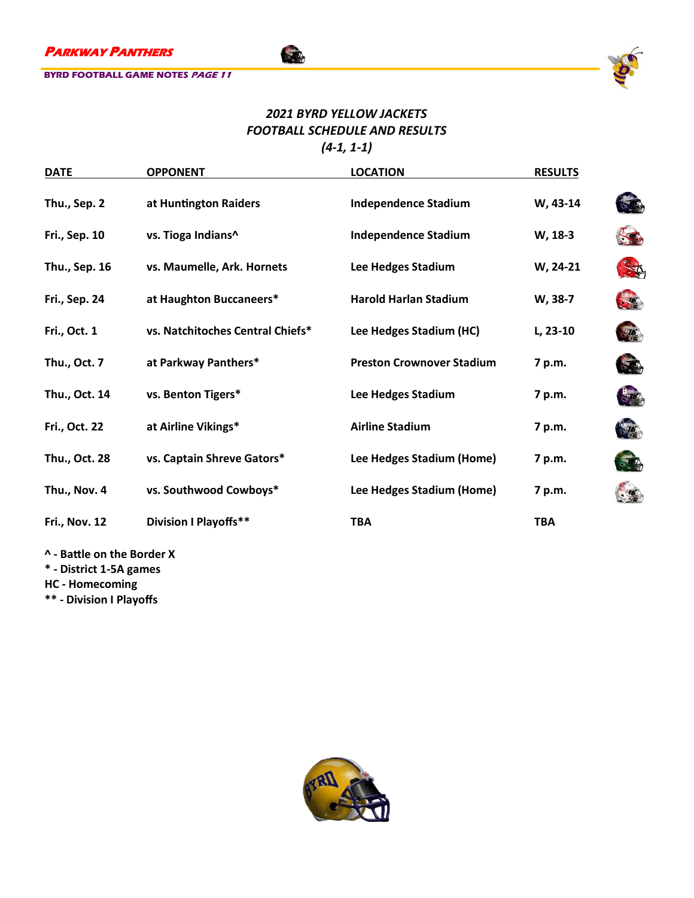

## *2021 BYRD YELLOW JACKETS FOOTBALL SCHEDULE AND RESULTS (4-1, 1-1)*

**STA** 

| <b>DATE</b>          | <b>OPPONENT</b>                  | <b>LOCATION</b>                  | <b>RESULTS</b> |                           |
|----------------------|----------------------------------|----------------------------------|----------------|---------------------------|
| Thu., Sep. 2         | at Huntington Raiders            | <b>Independence Stadium</b>      | W, 43-14       | $\rightarrow$             |
| <b>Fri., Sep. 10</b> | vs. Tioga Indians^               | <b>Independence Stadium</b>      | W, 18-3        |                           |
| Thu., Sep. 16        | vs. Maumelle, Ark. Hornets       | Lee Hedges Stadium               | W, 24-21       | $\mathfrak{D}$            |
| <b>Fri., Sep. 24</b> | at Haughton Buccaneers*          | <b>Harold Harlan Stadium</b>     | W, 38-7        |                           |
| Fri., Oct. 1         | vs. Natchitoches Central Chiefs* | Lee Hedges Stadium (HC)          | L, 23-10       | $\mathcal{L}_{\text{in}}$ |
| Thu., Oct. 7         | at Parkway Panthers*             | <b>Preston Crownover Stadium</b> | 7 p.m.         | $\rightarrow$             |
| Thu., Oct. 14        | vs. Benton Tigers*               | Lee Hedges Stadium               | 7 p.m.         | $-1$                      |
| Fri., Oct. 22        | at Airline Vikings*              | <b>Airline Stadium</b>           | 7 p.m.         | $\mathcal{L}$             |
| Thu., Oct. 28        | vs. Captain Shreve Gators*       | Lee Hedges Stadium (Home)        | 7 p.m.         |                           |
| Thu., Nov. 4         | vs. Southwood Cowboys*           | Lee Hedges Stadium (Home)        | 7 p.m.         |                           |
| <b>Fri., Nov. 12</b> | <b>Division I Playoffs**</b>     | <b>TBA</b>                       | <b>TBA</b>     |                           |
|                      |                                  |                                  |                |                           |

**^ - Battle on the Border X**

**\* - District 1-5A games**

**HC - Homecoming**

**\*\* - Division I Playoffs**

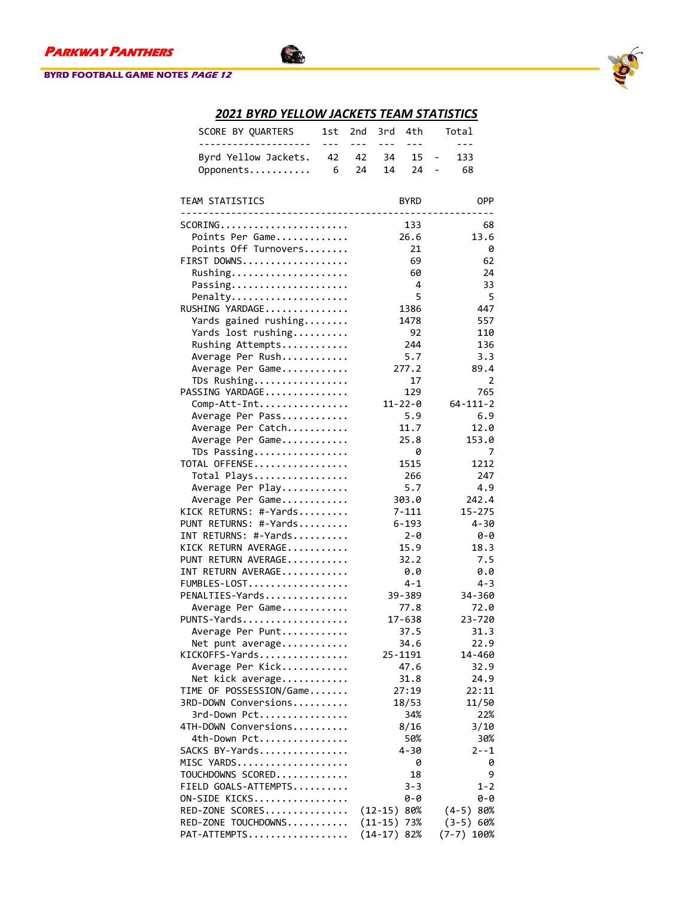



| SCORE BY QUARTERS<br>-------------------        | 1st<br>$- - -$ | 2nd<br>$- - -$ | $- - -$       | $- - -$           | 3rd 4th Total<br>$- - -$                                    |  |
|-------------------------------------------------|----------------|----------------|---------------|-------------------|-------------------------------------------------------------|--|
| Byrd Yellow Jackets.<br>Opponents               | 42<br>6        | 42<br>24       | 34<br>14      | 15<br>24          | 133<br>$\qquad \qquad \blacksquare$<br>68<br>$\blacksquare$ |  |
| TEAM STATISTICS                                 |                |                |               | <b>BYRD</b>       | <b>OPP</b>                                                  |  |
| $SCORING$                                       |                |                |               | 133               | 68                                                          |  |
| Points Per Game                                 |                |                |               | 26.6              | 13.6                                                        |  |
| Points Off Turnovers                            |                |                |               | 21                | 0                                                           |  |
| FIRST DOWNS<br>Rushing                          |                |                |               | 69<br>60          | 62<br>24                                                    |  |
| Passing                                         |                |                |               | 4                 | 33                                                          |  |
| Penalty                                         |                |                |               | 5                 | 5                                                           |  |
| RUSHING YARDAGE                                 |                |                |               | 1386              | 447                                                         |  |
| Yards gained rushing                            |                |                |               | 1478              | 557                                                         |  |
| Yards lost rushing                              |                |                |               | 92                | 110                                                         |  |
| Rushing Attempts                                |                |                |               | 244               | 136                                                         |  |
| Average Per Rush                                |                |                |               | 5.7               | 3.3                                                         |  |
| Average Per Game<br>TDs Rushing                 |                |                |               | 277.2<br>17       | 89.4<br>2                                                   |  |
| PASSING YARDAGE                                 |                |                |               | 129               | 765                                                         |  |
| Comp-Att-Int                                    |                |                |               | $11 - 22 - 0$     | $64 - 111 - 2$                                              |  |
| Average Per Pass                                |                |                |               | 5.9               | 6.9                                                         |  |
| Average Per Catch                               |                |                |               | 11.7              | 12.0                                                        |  |
| Average Per Game                                |                |                |               | 25.8              | 153.0                                                       |  |
| TDs Passing                                     |                |                |               | 0                 | 7                                                           |  |
| TOTAL OFFENSE                                   |                |                |               | 1515              | 1212                                                        |  |
| Total Plays                                     |                |                |               | 266<br>5.7        | 247<br>4.9                                                  |  |
| Average Per Play<br>Average Per Game            |                |                |               | 303.0             | 242.4                                                       |  |
| KICK RETURNS: #-Yards                           |                |                |               | 7-111             | 15-275                                                      |  |
| PUNT RETURNS: #-Yards                           |                |                |               | 6-193             | 4-30                                                        |  |
| INT RETURNS: #-Yards                            |                |                |               | $2 - \theta$      | 0-0                                                         |  |
| KICK RETURN AVERAGE                             |                |                |               | 15.9              | 18.3                                                        |  |
| PUNT RETURN AVERAGE                             |                |                |               | 32.2              | 7.5                                                         |  |
| INT RETURN AVERAGE                              |                |                |               | 0.0               | 0.0                                                         |  |
| FUMBLES-LOST<br>PENALTIES-Yards                 |                |                |               | $4 - 1$<br>39-389 | $4 - 3$<br>34-360                                           |  |
| Average Per Game                                |                |                |               | 77.8              | 72.0                                                        |  |
| PUNTS-Yards                                     |                |                |               | 17-638            | 23-720                                                      |  |
| Average Per Punt                                |                |                |               | 37.5              | 31.3                                                        |  |
| Net punt average                                |                |                |               | 34.6              | 22.9                                                        |  |
| KICKOFFS-Yards                                  |                |                |               | 25-1191           | 14-460                                                      |  |
| Average Per Kick                                |                |                |               | 47.6              | 32.9                                                        |  |
| Net kick average                                |                |                |               | 31.8<br>27:19     | 24.9<br>22:11                                               |  |
| TIME OF POSSESSION/Game<br>3RD-DOWN Conversions |                |                |               | 18/53             | 11/50                                                       |  |
| 3rd-Down Pct                                    |                |                |               | 34%               | 22%                                                         |  |
| 4TH-DOWN Conversions                            |                |                |               | 8/16              | 3/10                                                        |  |
| 4th-Down Pct                                    |                |                |               | 50%               | 30%                                                         |  |
| SACKS BY-Yards                                  |                |                |               | 4-30              | $2 - -1$                                                    |  |
| MISC YARDS                                      |                |                |               | 0                 | 0                                                           |  |
| TOUCHDOWNS SCORED                               |                |                |               | 18                | 9                                                           |  |
| FIELD GOALS-ATTEMPTS                            |                |                |               | $3 - 3$           | 1-2                                                         |  |
| ON-SIDE KICKS<br>RED-ZONE SCORES                |                |                | $(12-15)$ 80% | 0-0               | 0-0<br>$(4-5)$ 80%                                          |  |
| RED-ZONE TOUCHDOWNS                             |                |                | $(11-15)$     | 73%               | $(3-5) 60%$                                                 |  |
| PAT-ATTEMPTS                                    |                |                | $(14-17)$     | 82%               | (7-7) 100%                                                  |  |

## *2021 BYRD YELLOW JACKETS TEAM STATISTICS*

G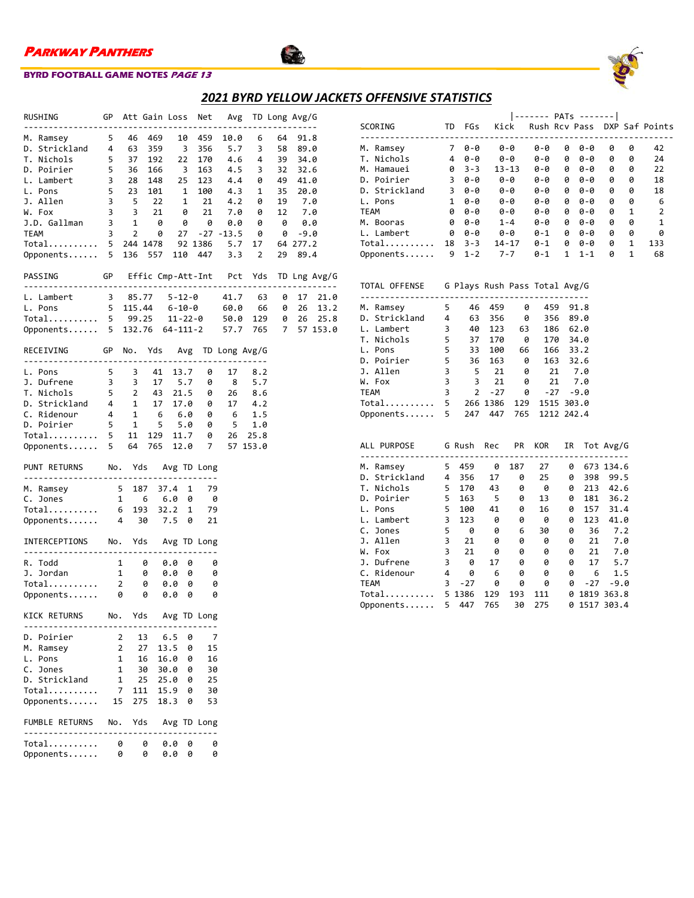

### **BYRD FOOTBALL GAME NOTES PAGE 13**



| RUSHING                                                                                                                               |                                            |                   |                                                                             |        |     |             | GP Att Gain Loss Net Avg TD Long Avg/G                                                            |                         |          |                 |              |
|---------------------------------------------------------------------------------------------------------------------------------------|--------------------------------------------|-------------------|-----------------------------------------------------------------------------|--------|-----|-------------|---------------------------------------------------------------------------------------------------|-------------------------|----------|-----------------|--------------|
| M. Ramsey                                                                                                                             | 5 46                                       |                   | 469                                                                         |        |     |             | 10 459 10.0 6                                                                                     |                         | 64       | 91.8            |              |
| D. Strickland 4                                                                                                                       |                                            | 63                | 359                                                                         |        |     | 3 356       | 5.7                                                                                               | $\overline{\mathbf{3}}$ | 58       | 89.0            |              |
| T. Nichols                                                                                                                            | $5^{\circ}$                                | 37                | $\begin{array}{ccc} 192 & 22 \\ 166 & 3 \\ 148 & 25 \\ 101 & 1 \end{array}$ |        |     |             | 170 4.6                                                                                           | 4                       | 39       | 34.0            |              |
| D. Poirier                                                                                                                            | 5                                          | 36                |                                                                             |        |     | 163         | 4.5                                                                                               | $\overline{\mathbf{3}}$ | 32       | 32.6            |              |
| L. Lambert                                                                                                                            | $\overline{\phantom{a}}$                   | 28                |                                                                             |        |     | 123         | 4.4                                                                                               | 0                       | 49       | 41.0            |              |
| L. Pons<br>J. Allen                                                                                                                   | $5\phantom{.0}$<br>$\overline{\mathbf{3}}$ | 23                | $5$ 22 1 21                                                                 |        |     | 100         | 4.3<br>4.2                                                                                        | $\mathbf{1}$<br>0       | 35       | 20.0<br>19 7.0  |              |
| W. Fox                                                                                                                                | 3 <sup>7</sup>                             |                   |                                                                             |        | - 0 | 21          |                                                                                                   | 0                       |          |                 |              |
| J.D. Gallman 3                                                                                                                        |                                            |                   | $\begin{array}{ccc} 3 & 21 \\ 1 & 0 \end{array}$                            |        |     | 0 0         |                                                                                                   | 7.0 0<br>0.0 0          |          | 12 7.0<br>0 0.0 |              |
| TEAM                                                                                                                                  |                                            |                   |                                                                             |        |     |             |                                                                                                   |                         |          |                 |              |
| IEAM<br>Total                                                                                                                         |                                            |                   |                                                                             |        |     |             | 3   2   0   27   -27   -13.5   0   0   -9.0<br>5   244   1478   92   1386   5.7   17   64   277.2 |                         |          |                 |              |
| Opponents 5 136 557 110 447                                                                                                           |                                            |                   |                                                                             |        |     |             |                                                                                                   | $3.3 \quad 2$           | 29       | 89.4            |              |
| PASSING GP Effic Cmp-Att-Int Pct Yds                                                                                                  |                                            |                   |                                                                             |        |     |             |                                                                                                   |                         |          |                 | TD Lng Avg/G |
| L. Lambert 3 85.77 5-12-0 41.7 63                                                                                                     |                                            |                   |                                                                             |        |     |             |                                                                                                   |                         | $\theta$ | 17              | 21.0         |
|                                                                                                                                       |                                            |                   |                                                                             |        |     |             |                                                                                                   |                         |          | 26              | 13.2         |
| L. Pons 5 115.44 6-10-0 60.0 66 0<br>Total 5 99.25 11-22-0 50.0 129 0                                                                 |                                            |                   |                                                                             |        |     |             |                                                                                                   |                         |          |                 | 26 25.8      |
| Opponents 5 132.76 64-111-2 57.7 765 7                                                                                                |                                            |                   |                                                                             |        |     |             |                                                                                                   |                         |          |                 | 57 153.0     |
|                                                                                                                                       |                                            |                   |                                                                             |        |     |             |                                                                                                   |                         |          |                 |              |
| GP No. Yds Avg TD Long Avg/G<br>RECEIVING                                                                                             |                                            |                   |                                                                             |        |     |             |                                                                                                   |                         |          |                 |              |
| L. Pons                                                                                                                               |                                            |                   | 5 3 41 13.7 0                                                               |        |     |             | 17                                                                                                | 8.2                     |          |                 |              |
| J. Dufrene                                                                                                                            |                                            |                   |                                                                             |        |     |             | - 8                                                                                               | 5.7                     |          |                 |              |
| T. Nichols                                                                                                                            |                                            |                   | 3 3 17 5.7 0<br>5 2 43 21.5 0                                               |        |     |             | 26                                                                                                | 8.6                     |          |                 |              |
| D. Strickland 4 1 17 17.0 0 17<br>C. Ridenour 4 1 6 6.0 0 6                                                                           |                                            |                   |                                                                             |        |     |             |                                                                                                   | $4.2$<br>1.5            |          |                 |              |
|                                                                                                                                       |                                            |                   |                                                                             |        |     |             |                                                                                                   |                         |          |                 |              |
| D. Poirier $\begin{array}{ccccccccc} 5 & 1 & 5 & 5.0 & 0 & 5 & 1.0 \\ \text{Total} & 5 & 11 & 129 & 11.7 & 0 & 26 & 25.8 \end{array}$ |                                            |                   |                                                                             |        |     |             |                                                                                                   |                         |          |                 |              |
|                                                                                                                                       |                                            |                   |                                                                             |        |     |             |                                                                                                   |                         |          |                 |              |
| Opponents 5 64 765 12.0 7 57 153.0                                                                                                    |                                            |                   |                                                                             |        |     |             |                                                                                                   |                         |          |                 |              |
| PUNT RETURNS No. Yds Avg TD Long                                                                                                      |                                            |                   |                                                                             |        |     |             |                                                                                                   |                         |          |                 |              |
| M. Ramsey 5                                                                                                                           |                                            | 187               |                                                                             | 37.4 1 |     | 79          |                                                                                                   |                         |          |                 |              |
| C. Jones                                                                                                                              |                                            |                   | $1 \t6 \t6.0 \t0$                                                           |        |     | - 0         |                                                                                                   |                         |          |                 |              |
| Total                                                                                                                                 |                                            | $6$ 193           |                                                                             | 32.2 1 |     | 79          |                                                                                                   |                         |          |                 |              |
| Opponents                                                                                                                             |                                            | 4 30              |                                                                             | 7.5    | 0   | 21          |                                                                                                   |                         |          |                 |              |
| INTERCEPTIONS No. Yds Avg TD Long<br>---------------------------                                                                      |                                            |                   |                                                                             |        |     |             |                                                                                                   |                         |          |                 |              |
| R. Todd                                                                                                                               | $\mathbf{1}$                               | $\theta$          |                                                                             | 0.0    | - 0 | 0           |                                                                                                   |                         |          |                 |              |
| J. Jordan 1 0<br>Total 2 0                                                                                                            |                                            |                   |                                                                             | 0.0    | 0   | 0           |                                                                                                   |                         |          |                 |              |
|                                                                                                                                       |                                            |                   |                                                                             | 0.0    | 0   | 0           |                                                                                                   |                         |          |                 |              |
| Opponents                                                                                                                             |                                            | $\theta$ $\theta$ |                                                                             | 0.0 0  |     | 0           |                                                                                                   |                         |          |                 |              |
| KICK RETURNS                                                                                                                          |                                            | No. Yds           |                                                                             |        |     | Avg TD Long |                                                                                                   |                         |          |                 |              |
| ----------------------------------<br>D. Poirier                                                                                      |                                            | 2                 | 13                                                                          | 6.5    | 0   | 7           |                                                                                                   |                         |          |                 |              |
| M. Ramsey                                                                                                                             |                                            | 2                 | 27                                                                          | 13.5   | 0   | 15          |                                                                                                   |                         |          |                 |              |
| L. Pons                                                                                                                               |                                            | 1                 | 16                                                                          | 16.0   | 0   | 16          |                                                                                                   |                         |          |                 |              |
| C. Jones                                                                                                                              |                                            | 1                 | 30                                                                          | 30.0   | 0   | 30          |                                                                                                   |                         |          |                 |              |
| D. Strickland                                                                                                                         |                                            | 1                 | 25                                                                          | 25.0   | 0   | 25          |                                                                                                   |                         |          |                 |              |
| Total                                                                                                                                 |                                            | 7<br>111          |                                                                             | 15.9   | 0   | 30          |                                                                                                   |                         |          |                 |              |
| Opponents                                                                                                                             | 15                                         | 275               |                                                                             | 18.3   | 0   | 53          |                                                                                                   |                         |          |                 |              |
| <b>FUMBLE RETURNS</b><br>--------------                                                                                               | No.                                        | Yds               |                                                                             |        |     | Avg TD Long |                                                                                                   |                         |          |                 |              |
| Total                                                                                                                                 |                                            | 0                 | 0                                                                           | 0.0    | 0   | 0           |                                                                                                   |                         |          |                 |              |
| Opponents                                                                                                                             |                                            | 0                 | 0                                                                           | 0.0    | 0   | 0           |                                                                                                   |                         |          |                 |              |

|                                 |                               |                                                                  |                   |               | ------- PATs -------     |        |              |                    |   |                                   |  |  |
|---------------------------------|-------------------------------|------------------------------------------------------------------|-------------------|---------------|--------------------------|--------|--------------|--------------------|---|-----------------------------------|--|--|
| <b>SCORING</b>                  |                               | TD D<br>FGs                                                      |                   |               |                          |        |              |                    |   | Kick Rush Rcv Pass DXP Saf Points |  |  |
| M. Ramsey                       |                               | $70-0$                                                           | 0-0               |               | 0-0                      |        | 0 0-0        | 0                  | 0 | 42                                |  |  |
| T. Nichols                      |                               | $\overline{4}$<br>0-0                                            |                   | 0-0           | 0-0                      | 0      | 0-0          | 0                  | 0 | 24                                |  |  |
| M. Hamauei                      | 0                             | $3 - 3$                                                          |                   | $13 - 13$     | 0-0                      | 0      | 0-0          | 0                  | 0 | 22                                |  |  |
| D. Poirier                      | $\overline{\mathbf{3}}$       | 0-0                                                              | 0-0               |               | 0-0                      | 0      | 0-0          | 0                  | 0 | 18                                |  |  |
| D. Strickland                   |                               | $\overline{3}$<br>0-0                                            | $\frac{1}{2}$ - 0 |               | 0-0                      | 0      | 0-0          | 0                  | 0 | 18                                |  |  |
| L. Pons                         |                               | 1<br>$0 - 0$                                                     |                   | 0-0           | 0-0                      | 0      | 0-0          | 0                  | 0 | 6                                 |  |  |
| <b>TEAM</b>                     |                               | 0<br>0-0                                                         |                   | 0-0           | 0-0                      | 0      | 0-0          | 0                  | 1 | $\overline{2}$                    |  |  |
| M. Booras                       |                               | 0<br>0-0                                                         |                   | $1 - 4$       | 0-0                      | 0      | 0-0          | 0                  | 0 | 1                                 |  |  |
| L. Lambert                      |                               | 0 0-0                                                            | $0 - 0$           |               | $0 - 1$ 0 0-0            |        |              | 0                  | 0 | 0                                 |  |  |
| Total                           |                               | $18$ 3-3 $14-17$                                                 |                   |               | $0-1$ 0 0-0<br>0-1 1 1-1 |        |              | 0                  | 1 | 133                               |  |  |
| Opponents                       |                               | $9 \t1 - 2$                                                      | $7 - 7$           |               |                          |        |              | 0                  | 1 | 68                                |  |  |
|                                 |                               |                                                                  |                   |               |                          |        |              |                    |   |                                   |  |  |
| TOTAL OFFENSE                   | G Plays Rush Pass Total Avg/G |                                                                  |                   |               |                          |        |              |                    |   |                                   |  |  |
| ------------------------------- |                               | 5 46 459                                                         |                   |               |                          |        |              |                    |   |                                   |  |  |
| M. Ramsey<br>D. Strickland 4    |                               |                                                                  | 356               | 0<br>0        | 459<br>356               |        | 91.8<br>89.0 |                    |   |                                   |  |  |
| L. Lambert                      | 3                             | 63<br>40                                                         | 123               | 63            | 186 62.0                 |        |              |                    |   |                                   |  |  |
| T. Nichols                      | $5^{\circ}$                   | 37                                                               | 170               | - 0           | 170 34.0                 |        |              |                    |   |                                   |  |  |
| L. Pons                         | 5                             | 33                                                               | 100               | 66            | 166 33.2                 |        |              |                    |   |                                   |  |  |
| D. Poirier                      | $\overline{\phantom{0}}$      | 36                                                               | 163               | $\theta$      | 163 32.6                 |        |              |                    |   |                                   |  |  |
| J. Allen                        | 3 <sup>7</sup>                |                                                                  | $5\qquad21$       |               |                          | 21 7.0 |              |                    |   |                                   |  |  |
| W. Fox                          | 3                             | $\overline{\mathbf{3}}$                                          | - 21              | $\theta$<br>0 | 21                       |        | 7.0          |                    |   |                                   |  |  |
| <b>TEAM</b>                     |                               | $2^{\circ}$                                                      | $-27$             | 0             | $-27 - 9.0$              |        |              |                    |   |                                   |  |  |
| Total                           |                               |                                                                  |                   | 266 1386 129  | 1515 303.0               |        |              |                    |   |                                   |  |  |
| Opponents                       |                               | $\begin{array}{ccc} 3 & 2 \\ 5 & 266 \ 1 \\ 5 & 247 \end{array}$ | 447               | 765           | 1212 242.4               |        |              |                    |   |                                   |  |  |
|                                 |                               |                                                                  |                   |               |                          |        |              |                    |   |                                   |  |  |
| ALL PURPOSE                     |                               | G Rush Rec                                                       |                   | PR            | KOR                      | IR     |              | Tot Avg/G          |   |                                   |  |  |
|                                 |                               |                                                                  |                   |               |                          |        |              |                    |   |                                   |  |  |
| M. Ramsey                       | 5                             | 459                                                              | - 0               | 187           | 27                       | 0      |              | 673 134.6          |   |                                   |  |  |
| D. Strickland                   |                               | 4 356<br>4 356<br>5 170                                          | 17                | 0             | 25                       | 0      | 398          | 99.5               |   |                                   |  |  |
| T. Nichols                      |                               |                                                                  | 43                | 0             | - 0                      | 0      | 213          | 42.6               |   |                                   |  |  |
| D. Poirier                      | 5                             | 163                                                              | 5                 | 0             | 13                       | 0      | 181          | 36.2               |   |                                   |  |  |
| L. Pons                         | 5                             | 100                                                              | 41                | 0             | 16                       | 0      | 157          | 31.4               |   |                                   |  |  |
| L. Lambert                      | 3                             | 123                                                              | - 0               | 0             | 0                        | 0      | 123          | 41.0               |   |                                   |  |  |
| C. Jones                        | 5                             | - 0                                                              | 0                 | 6             | 30                       | 0      | 36<br>21     | 7.2                |   |                                   |  |  |
| J. Allen                        | 3                             | 21                                                               | - 0               | 0             | 0                        | 0      |              | 7.0                |   |                                   |  |  |
| W. Fox                          | $\overline{3}$                | 21                                                               | - 0               | 0             | 0                        |        | 0 21         | 7.0                |   |                                   |  |  |
| J. Dufrene                      | 3                             | $\theta$                                                         | 17                | 0             | 0                        | 0      | 17           | 5.7                |   |                                   |  |  |
| C. Ridenour<br><b>TEAM</b>      |                               | 4 0<br>$3 - 27$                                                  | 6<br>0            | 0<br>0        | 0<br>0                   | 0      | 6            | 1.5<br>$-27 - 9.0$ |   |                                   |  |  |
| Total                           |                               | 5 1386                                                           | 129               | 193           | 111                      | 0      | 0 1819 363.8 |                    |   |                                   |  |  |
| Opponents                       | 5                             | 447                                                              | 765               | 30            | 275                      |        | 0 1517 303.4 |                    |   |                                   |  |  |
|                                 |                               |                                                                  |                   |               |                          |        |              |                    |   |                                   |  |  |

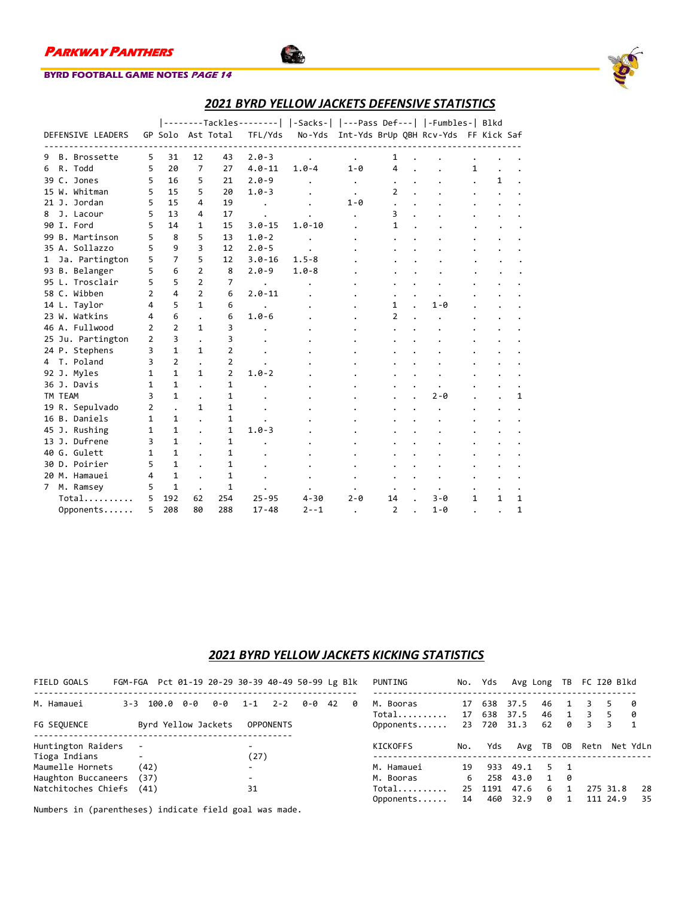

### *2021 BYRD YELLOW JACKETS DEFENSIVE STATISTICS*

|                                |    |                |                |                   |                      | --------Tackles--------   -Sacks-   ---Pass Def---   -Fumbles-  Blkd |              |                |                                             |              |              |   |
|--------------------------------|----|----------------|----------------|-------------------|----------------------|----------------------------------------------------------------------|--------------|----------------|---------------------------------------------|--------------|--------------|---|
| DEFENSIVE LEADERS              |    |                |                | GP Solo Ast Total | TFL/Yds              |                                                                      |              |                | No-Yds Int-Yds BrUp QBH Rcv-Yds FF Kick Saf |              |              |   |
| B. Brossette<br>9              | 5  | 31             | 12             | 43                | $2.0 - 3$            |                                                                      |              |                |                                             |              |              |   |
| R. Todd                        |    |                |                |                   |                      |                                                                      |              | 1              |                                             |              |              |   |
| 6                              | 5  | 20             | $\overline{7}$ | 27                | $4.0 - 11$           | $1.0 - 4$                                                            | 1-0          | 4              |                                             | $\mathbf{1}$ |              |   |
| 39 C. Jones                    | 5  | 16             | 5              | 21                | $2.0 - 9$            |                                                                      |              | $\bullet$      |                                             |              | 1            |   |
| 15 W. Whitman                  | 5  | 15             | 5              | 20                | $1.0 - 3$            |                                                                      |              | 2              |                                             |              |              |   |
| 21 J. Jordan                   | 5. | 15             | 4              | 19                |                      |                                                                      | $1 - \theta$ |                |                                             |              |              |   |
| J. Lacour<br>8                 | 5  | 13             | 4              | 17                |                      |                                                                      |              | 3              |                                             |              |              |   |
| 90 I. Ford                     | 5  | 14             | 1              | 15                | $3.0 - 15$           | $1.0 - 10$                                                           |              | 1              |                                             |              |              |   |
| 99 B. Martinson                | 5  | 8              | 5              | 13                | $1.0 - 2$            |                                                                      |              |                |                                             |              |              |   |
| 35 A. Sollazzo                 | 5  | 9              | 3              | 12                | $2.0 - 5$            |                                                                      |              |                |                                             |              |              |   |
| Ja. Partington<br>$\mathbf{1}$ | 5  | 7              | 5              | 12                | $3.0 - 16$           | $1.5 - 8$                                                            |              |                |                                             |              |              |   |
| 93 B. Belanger                 | 5  | 6              | $\overline{2}$ | 8                 | $2.0 - 9$            | $1.0 - 8$                                                            |              |                |                                             |              |              |   |
| 95 L. Trosclair                | 5  | 5              | $\overline{2}$ | 7                 |                      |                                                                      |              |                |                                             |              |              |   |
| 58 C. Wibben                   | 2  | 4              | $\overline{2}$ | 6                 | $2.0 - 11$           |                                                                      |              |                |                                             |              |              |   |
| 14 L. Taylor                   | 4  | 5              | $\mathbf{1}$   | 6                 | $\ddot{\phantom{0}}$ |                                                                      |              | 1              | 1-0                                         |              |              |   |
| 23 W. Watkins                  | 4  | 6              |                | 6                 | $1.0 - 6$            |                                                                      |              | $\overline{2}$ |                                             |              |              |   |
| 46 A. Fullwood                 | 2  | $\overline{2}$ | $\mathbf{1}$   | 3                 |                      |                                                                      |              |                |                                             |              |              |   |
| 25 Ju. Partington              | 2  | 3              |                | 3                 |                      |                                                                      |              |                |                                             |              |              |   |
| 24 P. Stephens                 | 3  | $\mathbf{1}$   | $\mathbf{1}$   | 2                 |                      |                                                                      |              |                |                                             |              |              |   |
| 4 T. Poland                    | 3  | $\overline{2}$ |                | 2                 |                      |                                                                      |              |                |                                             |              |              |   |
| 92 J. Myles                    | 1  | $\mathbf{1}$   | 1              | $\overline{2}$    | $1.0 - 2$            |                                                                      |              |                |                                             |              |              |   |
| 36 J. Davis                    | 1  | 1              |                | 1                 |                      |                                                                      |              |                |                                             |              |              |   |
| TM TEAM                        | 3  | 1              |                | 1                 |                      |                                                                      |              |                | 2-0                                         |              |              | 1 |
| 19 R. Sepulvado                | 2  |                | 1              | 1                 |                      |                                                                      |              |                |                                             |              |              |   |
| 16 B. Daniels                  | 1  | 1              |                | 1                 |                      |                                                                      |              |                |                                             |              |              |   |
| 45 J. Rushing                  | 1  | 1              |                | 1                 | $1.0 - 3$            |                                                                      |              |                |                                             |              |              |   |
| 13 J. Dufrene                  | 3  | 1              |                | $\mathbf{1}$      |                      |                                                                      |              |                |                                             |              |              |   |
| 40 G. Gulett                   | 1  | 1              |                | $\mathbf{1}$      |                      |                                                                      |              |                |                                             |              |              |   |
| 30 D. Poirier                  | 5  | $\mathbf{1}$   |                | $\mathbf{1}$      |                      |                                                                      |              |                |                                             |              |              |   |
| 20 M. Hamauei                  | 4  | 1              |                | 1                 |                      |                                                                      |              |                |                                             |              |              |   |
| M. Ramsey<br>$7^{\circ}$       | 5  | $\mathbf{1}$   |                | $\mathbf{1}$      |                      |                                                                      |              |                |                                             |              |              |   |
| Total                          | 5  | 192            | 62             | 254               | $25 - 95$            | $4 - 30$                                                             | $2 - \theta$ | 14             | 3-0                                         | $\mathbf{1}$ | $\mathbf{1}$ | 1 |
| Opponents                      | 5  | 208            | 80             | 288               | $17 - 48$            | $2 - -1$                                                             |              | $\overline{2}$ | $1 - \theta$                                |              |              | 1 |
|                                |    |                |                |                   |                      |                                                                      |              |                |                                             |              |              |   |

S

### *2021 BYRD YELLOW JACKETS KICKING STATISTICS*

| FIELD GOALS         | FGM-FGA Pct 01-19 20-29 30-39 40-49 50-99 Lg Blk |               |     |                     |                          |                  |     |    |          | PUNTING            |          | No. Yds    | Avg Long     |          | TB |          | FC I20 Blkd |                     |
|---------------------|--------------------------------------------------|---------------|-----|---------------------|--------------------------|------------------|-----|----|----------|--------------------|----------|------------|--------------|----------|----|----------|-------------|---------------------|
| M. Hamauei          |                                                  | $3 - 3$ 100.0 | 0-0 | 0-0                 | $1 - 1$                  | $2 - 2$          | 0-0 | 42 | <b>0</b> | M. Booras          | 17       | 638        | 37.5         | 46       |    | 3.       | 5           | - 0                 |
| FG SEQUENCE         |                                                  |               |     | Byrd Yellow Jackets |                          | <b>OPPONENTS</b> |     |    |          | Total<br>Opponents | 17<br>23 | 638<br>720 | 37.5<br>31.3 | 46<br>62 | ø  | 3        | 5<br>3      | - 0<br>$\mathbf{1}$ |
| Huntington Raiders  |                                                  |               |     |                     | $\overline{\phantom{0}}$ |                  |     |    |          | KICKOFFS           | No.      | Yds        |              | Avg TB   | 0B | Retn     |             | Net YdLn            |
| Tioga Indians       | $\overline{\phantom{a}}$                         |               |     |                     | (27)                     |                  |     |    |          |                    |          |            |              |          |    |          |             |                     |
| Maumelle Hornets    |                                                  | (42)          |     |                     | $\overline{\phantom{0}}$ |                  |     |    |          | M. Hamauei         | 19       | 933        | 49.1         | 5.       |    |          |             |                     |
| Haughton Buccaneers |                                                  | (37)          |     |                     | $\overline{\phantom{a}}$ |                  |     |    |          | M. Booras          | 6        | 258        | 43.0         | 1        | 0  |          |             |                     |
| Natchitoches Chiefs | (41)                                             |               |     | 31                  |                          |                  |     |    | Total    | 25                 | 1191     | 47.6       | 6            |          |    | 275 31.8 | -28         |                     |
|                     |                                                  |               |     |                     |                          |                  |     |    |          | Opponents          | 14       | 460        | 32.9         | ø        |    |          | 111 24.9    | 35                  |

Numbers in (parentheses) indicate field goal was made.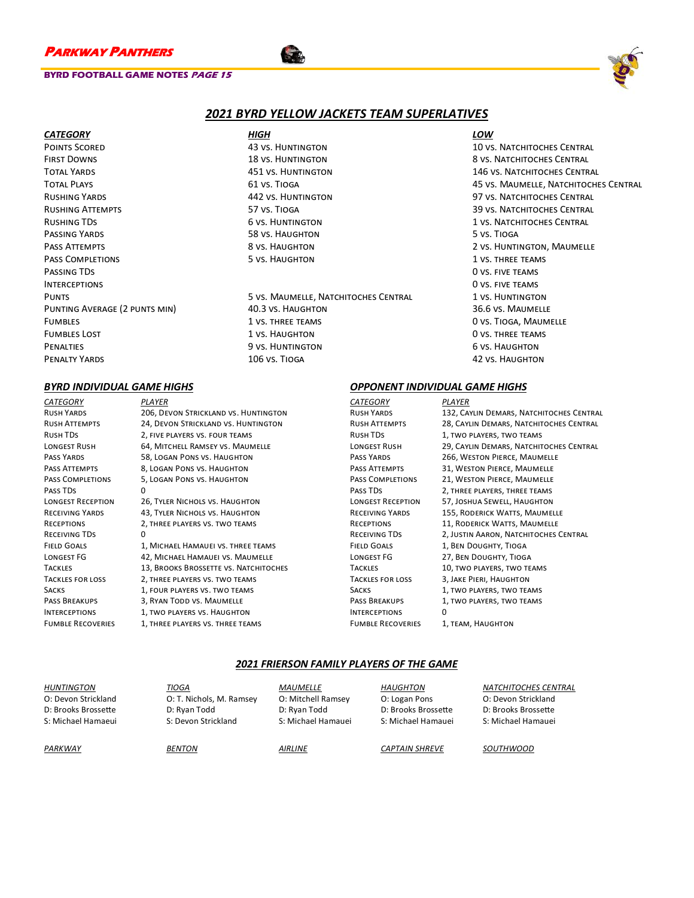### **BYRD FOOTBALL GAME NOTES PAGE 15**



### *2021 BYRD YELLOW JACKETS TEAM SUPERLATIVES*

### *CATEGORY HIGH LOW*

Points Scored 43 vs. Huntington 10 vs. Natchitoches Central First Downs 18 vs. Huntington 8 vs. Natchitoches Central Total Yards 451 vs. Huntington 146 vs. Natchitoches Central Rushing Yards 442 vs. Huntington 97 vs. Natchitoches Central Rushing Attempts 57 vs. Tioga 39 vs. Natchitoches Central RUSHING TDS **6 vs. HUNTINGTON** 6 vs. HUNTINGTON **1** vs. Natchitoches Central Passing Yards 58 vs. Haughton 58 vs. Haughton 5 vs. Tioga Pass Attempts The Community of the Community State and State 8 vs. Haughton 2 vs. Huntington, Maumelle PASS COMPLETIONS **FIGURE 1 VS. THREE TEAMS** 5 VS. HAUGHTON **1** vs. Three teams PASSING TDS ON SERVE TEAMS AND THE SERVE TEAMS ON SERVE TEAMS ON SERVE TEAMS ON SERVE TEAMS ON SERVE TEAMS ON SERVE TEAMS ON SERVE TEAMS ON SERVE TEAMS ON SERVE TEAMS ON SERVE TEAMS ON SERVE TEAMS ON SERVE TEAMS ON SERVE T Interceptions 0 vs. five teams

PUNTS **12 STAR CONTENTS CONTENTS CONTRAL 1 VS. HUNTINGTON** 5 VS. MAUMELLE, NATCHITOCHES CENTRAL 1 VS. HUNTINGTON PUNTING AVERAGE (2 PUNTS MIN) 40.3 vs. HAUGHTON 36.6 vs. MAUMELLE Fumbles 1 vs. three teams 0 vs. Tioga, Maumelle FUMBLES LOST **1 vs. HAUGHTON** 1 vs. HAUGHTON **1 vs. THREE TEAMS** Penalties 9 vs. Huntington 6 vs. Haughton PENALTY YARDS **106 vs. TIOGA** 42 vs. HAUGHTON 42 vs. HAUGHTON

Total Plays 61 vs. Tioga 45 vs. Maumelle, Natchitoches Central

*CATEGORY PLAYER* Rush Yards 206, Devon Strickland vs. Huntington Rush Attempts 24, Devon Strickland vs. Huntington Rush TDs 2, five players vs. four teams LONGEST RUSH 64, MITCHELL RAMSEY VS. MAUMELLE Pass Yards 58, Logan Pons vs. Haughton PASS ATTEMPTS 8. LOGAN PONS VS. HAUGHTON Pass Completions 5, Logan Pons vs. Haughton Pass TDs 0 Longest Reception 26, Tyler Nichols vs. Haughton RECEIVING YARDS 43, TYLER NICHOLS VS. HAUGHTON Receptions 2, three players vs. two teams RECEIVING TDS 0 FIELD GOALS 1, MICHAEL HAMAUEI VS. THREE TEAMS Longest FG 42, Michael Hamauei vs. Maumelle Tackles 13, Brooks Brossette vs. Natchitoches Tackles for loss 2, three players vs. two teams SACKS 1, FOUR PLAYERS VS. TWO TEAMS PASS BREAKUPS 3, RYAN TODD VS. MAUMELLE Interceptions 1, two players vs. Haughton FUMBLE RECOVERIES 1, THREE PLAYERS VS. THREE TEAMS

### *BYRD INDIVIDUAL GAME HIGHS OPPONENT INDIVIDUAL GAME HIGHS*

*CATEGORY PLAYER* RUSH YARDS 132, CAYLIN DEMARS, NATCHITOCHES CENTRAL Rush Attempts 28, Caylin Demars, Natchitoches Central Rush TDs 1, two players, two teams LONGEST RUSH 29, CAYLIN DEMARS, NATCHITOCHES CENTRAL PASS YARDS 266, WESTON PIERCE, MAUMELLE PASS ATTEMPTS 31, WESTON PIERCE, MAUMELLE PASS COMPLETIONS 21, WESTON PIERCE, MAUMELLE PASS TDS 2, THREE PLAYERS, THREE TEAMS Longest Reception 57, Joshua Sewell, Haughton RECEIVING YARDS 155, RODERICK WATTS, MAUMELLE RECEPTIONS 11, RODERICK WATTS, MAUMELLE<br>RECEIVING TDS 2. JUSTIN AARON. NATCHITOCHES 2, JUSTIN AARON, NATCHITOCHES CENTRAL Field Goals 1, Ben Doughty, Tioga Longest FG 27, Ben Doughty, Tioga TACKLES 10, TWO PLAYERS, TWO TEAMS Tackles for loss 3, Jake Pieri, Haughton SACKS 1, TWO PLAYERS, TWO TEAMS PASS BREAKUPS 1, TWO PLAYERS, TWO TEAMS Interceptions 0 FUMBLE RECOVERIES 1, TEAM, HAUGHTON

### *2021 FRIERSON FAMILY PLAYERS OF THE GAME*

| HUNTINGTON          | TIOGA                    | <b>MAUMELLE</b>    | HAUGHTON              | NATCHITOCHES CENTRAL |
|---------------------|--------------------------|--------------------|-----------------------|----------------------|
| O: Devon Strickland | O: T. Nichols, M. Ramsey | O: Mitchell Ramsey | O: Logan Pons         | O: Devon Strickland  |
| D: Brooks Brossette | D: Ryan Todd             | D: Ryan Todd       | D: Brooks Brossette   | D: Brooks Brossette  |
| S: Michael Hamaeui  | S: Devon Strickland      | S: Michael Hamauei | S: Michael Hamauei    | S: Michael Hamauei   |
| PARKWAY             | <b>BENTON</b>            | <b>AIRLINE</b>     | <b>CAPTAIN SHREVE</b> | SOUTHWOOD            |